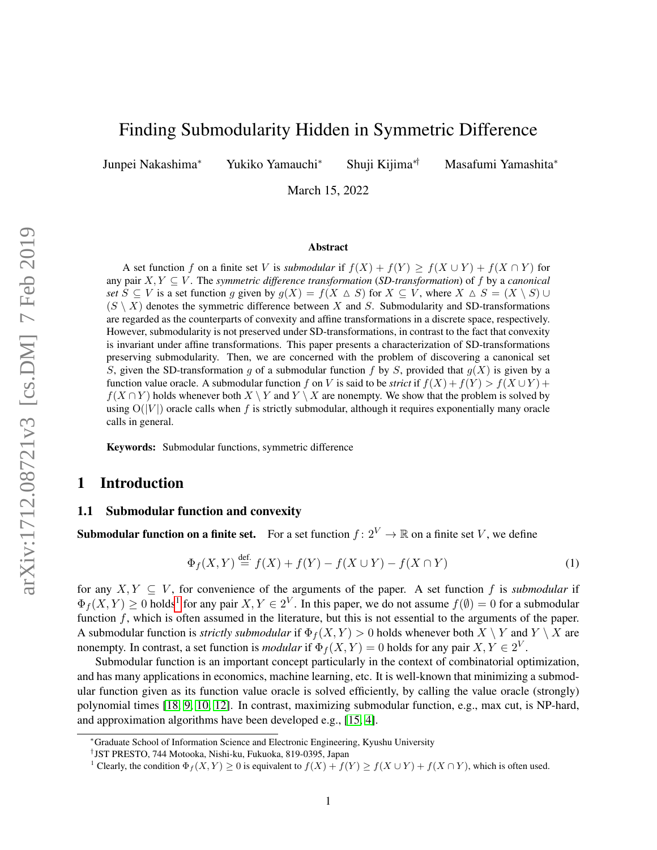# Finding Submodularity Hidden in Symmetric Difference

Junpei Nakashima<sup>∗</sup> Yukiko Yamauchi<sup>∗</sup> Shuji Kijima∗† Masafumi Yamashita<sup>∗</sup>

March 15, 2022

#### Abstract

A set function f on a finite set V is *submodular* if  $f(X) + f(Y) \ge f(X \cup Y) + f(X \cap Y)$  for any pair X, Y ⊆ V . The *symmetric difference transformation* (*SD-transformation*) of f by a *canonical set*  $S \subseteq V$  is a set function g given by  $g(X) = f(X \triangle S)$  for  $X \subseteq V$ , where  $X \triangle S = (X \setminus S) \cup$  $(S \setminus X)$  denotes the symmetric difference between X and S. Submodularity and SD-transformations are regarded as the counterparts of convexity and affine transformations in a discrete space, respectively. However, submodularity is not preserved under SD-transformations, in contrast to the fact that convexity is invariant under affine transformations. This paper presents a characterization of SD-transformations preserving submodularity. Then, we are concerned with the problem of discovering a canonical set S, given the SD-transformation g of a submodular function f by S, provided that  $g(X)$  is given by a function value oracle. A submodular function f on V is said to be *strict* if  $f(X) + f(Y) > f(X \cup Y) + f(Y)$  $f(X \cap Y)$  holds whenever both  $X \setminus Y$  and  $Y \setminus X$  are nonempty. We show that the problem is solved by using  $O(|V|)$  oracle calls when f is strictly submodular, although it requires exponentially many oracle calls in general.

Keywords: Submodular functions, symmetric difference

## 1 Introduction

## 1.1 Submodular function and convexity

**Submodular function on a finite set.** For a set function  $f: 2^V \to \mathbb{R}$  on a finite set V, we define

$$
\Phi_f(X, Y) \stackrel{\text{def.}}{=} f(X) + f(Y) - f(X \cup Y) - f(X \cap Y) \tag{1}
$$

for any  $X, Y \subseteq V$ , for convenience of the arguments of the paper. A set function f is *submodular* if  $\Phi_f(X,Y) \ge 0$  holds<sup>[1](#page-0-0)</sup> for any pair  $X, Y \in 2^V$ . In this paper, we do not assume  $f(\emptyset) = 0$  for a submodular function  $f$ , which is often assumed in the literature, but this is not essential to the arguments of the paper. A submodular function is *strictly submodular* if  $\Phi_f(X, Y) > 0$  holds whenever both  $X \setminus Y$  and  $Y \setminus X$  are nonempty. In contrast, a set function is *modular* if  $\Phi_f(X, Y) = 0$  holds for any pair  $X, Y \in 2^V$ .

Submodular function is an important concept particularly in the context of combinatorial optimization, and has many applications in economics, machine learning, etc. It is well-known that minimizing a submodular function given as its function value oracle is solved efficiently, by calling the value oracle (strongly) polynomial times [\[18,](#page-14-0) [9,](#page-14-1) [10,](#page-14-2) [12\]](#page-14-3). In contrast, maximizing submodular function, e.g., max cut, is NP-hard, and approximation algorithms have been developed e.g., [\[15,](#page-14-4) [4\]](#page-14-5).

<sup>∗</sup>Graduate School of Information Science and Electronic Engineering, Kyushu University

<sup>†</sup> JST PRESTO, 744 Motooka, Nishi-ku, Fukuoka, 819-0395, Japan

<span id="page-0-0"></span><sup>&</sup>lt;sup>1</sup> Clearly, the condition  $\Phi_f(X, Y) \ge 0$  is equivalent to  $f(X) + f(Y) \ge f(X \cup Y) + f(X \cap Y)$ , which is often used.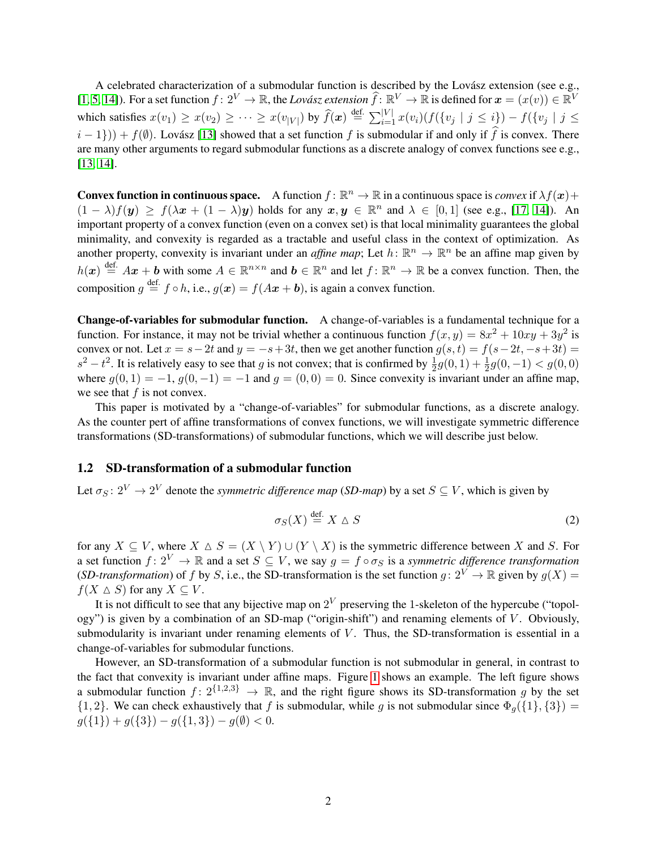A celebrated characterization of a submodular function is described by the Lovász extension (see e.g., [\[1,](#page-14-6) [5,](#page-14-7) [14\]](#page-14-8)). For a set function  $f: 2^V \to \mathbb{R}$ , the *Lovász extension*  $\hat{f}: \mathbb{R}^V \to \mathbb{R}$  is defined for  $x = (x(v)) \in \mathbb{R}^V$ which satisfies  $x(v_1) \ge x(v_2) \ge \cdots \ge x(v_{|V|})$  by  $\widehat{f}(\boldsymbol{x}) \stackrel{\text{def.}}{=} \sum_{i=1}^{|V|} x(v_i) (f(\{v_j \mid j \le i\}) - f(\{v_j \mid j \le n\}))$  $(i - 1)$ ) +  $f(\emptyset)$ . Lovász [\[13\]](#page-14-9) showed that a set function f is submodular if and only if f is convex. There are many other arguments to regard submodular functions as a discrete analogy of convex functions see e.g., [\[13,](#page-14-9) [14\]](#page-14-8).

**Convex function in continuous space.** A function  $f : \mathbb{R}^n \to \mathbb{R}$  in a continuous space is *convex* if  $\lambda f(x)$  +  $(1 - \lambda)f(y) \geq f(\lambda x + (1 - \lambda)y)$  holds for any  $x, y \in \mathbb{R}^n$  and  $\lambda \in [0, 1]$  (see e.g., [\[17,](#page-14-10) [14\]](#page-14-8)). An important property of a convex function (even on a convex set) is that local minimality guarantees the global minimality, and convexity is regarded as a tractable and useful class in the context of optimization. As another property, convexity is invariant under an *affine map*; Let  $h: \mathbb{R}^n \to \mathbb{R}^n$  be an affine map given by  $h(x) \stackrel{\text{def.}}{=} Ax + b$  with some  $A \in \mathbb{R}^{n \times n}$  and  $b \in \mathbb{R}^n$  and let  $f: \mathbb{R}^n \to \mathbb{R}$  be a convex function. Then, the composition  $g \stackrel{\text{def.}}{=} f \circ h$ , i.e.,  $g(x) = f(Ax + b)$ , is again a convex function.

Change-of-variables for submodular function. A change-of-variables is a fundamental technique for a function. For instance, it may not be trivial whether a continuous function  $f(x, y) = 8x^2 + 10xy + 3y^2$  is convex or not. Let  $x = s - 2t$  and  $y = -s + 3t$ , then we get another function  $g(s, t) = f(s - 2t, -s + 3t)$  $s^2 - t^2$ . It is relatively easy to see that g is not convex; that is confirmed by  $\frac{1}{2}g(0,1) + \frac{1}{2}g(0,-1) < g(0,0)$ where  $q(0, 1) = -1$ ,  $q(0, -1) = -1$  and  $q = (0, 0) = 0$ . Since convexity is invariant under an affine map, we see that  $f$  is not convex.

This paper is motivated by a "change-of-variables" for submodular functions, as a discrete analogy. As the counter pert of affine transformations of convex functions, we will investigate symmetric difference transformations (SD-transformations) of submodular functions, which we will describe just below.

### 1.2 SD-transformation of a submodular function

Let  $\sigma_S \colon 2^V \to 2^V$  denote the *symmetric difference map* (*SD-map*) by a set  $S \subseteq V$ , which is given by

$$
\sigma_S(X) \stackrel{\text{def.}}{=} X \Delta S \tag{2}
$$

for any  $X \subseteq V$ , where  $X \triangle S = (X \setminus Y) \cup (Y \setminus X)$  is the symmetric difference between X and S. For a set function  $f: 2^V \to \mathbb{R}$  and a set  $S \subseteq V$ , we say  $g = f \circ \sigma_S$  is a *symmetric difference transformation* (*SD-transformation*) of f by S, i.e., the SD-transformation is the set function  $g: 2^V \to \mathbb{R}$  given by  $g(X) =$  $f(X \triangle S)$  for any  $X \subseteq V$ .

It is not difficult to see that any bijective map on  $2^V$  preserving the 1-skeleton of the hypercube ("topology") is given by a combination of an SD-map ("origin-shift") and renaming elements of  $V$ . Obviously, submodularity is invariant under renaming elements of  $V$ . Thus, the SD-transformation is essential in a change-of-variables for submodular functions.

However, an SD-transformation of a submodular function is not submodular in general, in contrast to the fact that convexity is invariant under affine maps. Figure [1](#page-2-0) shows an example. The left figure shows a submodular function  $f: 2^{\{1,2,3\}} \to \mathbb{R}$ , and the right figure shows its SD-transformation q by the set  $\{1, 2\}$ . We can check exhaustively that f is submodular, while g is not submodular since  $\Phi_q(\{1\}, \{3\}) =$  $g({1}) + g({3}) - g({1,3}) - g(\emptyset) < 0.$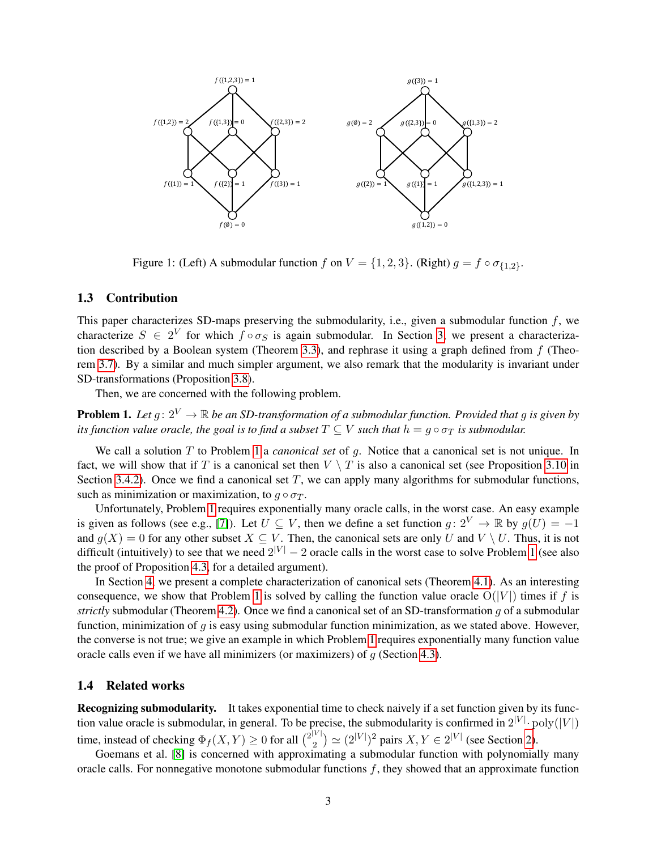

<span id="page-2-0"></span>Figure 1: (Left) A submodular function f on  $V = \{1, 2, 3\}$ . (Right)  $g = f \circ \sigma_{\{1,2\}}$ .

### 1.3 Contribution

This paper characterizes SD-maps preserving the submodularity, i.e., given a submodular function  $f$ , we characterize  $S \in 2^V$  for which  $f \circ \sigma_S$  is again submodular. In Section [3,](#page-5-0) we present a characteriza-tion described by a Boolean system (Theorem [3.3\)](#page-7-0), and rephrase it using a graph defined from  $f$  (Theorem [3.7\)](#page-8-0). By a similar and much simpler argument, we also remark that the modularity is invariant under SD-transformations (Proposition [3.8\)](#page-8-1).

Then, we are concerned with the following problem.

<span id="page-2-1"></span>**Problem 1.** Let  $g: 2^V \to \mathbb{R}$  be an SD-transformation of a submodular function. Provided that g is given by *its function value oracle, the goal is to find a subset*  $T \subseteq V$  *such that*  $h = g \circ \sigma_T$  *is submodular.* 

We call a solution T to Problem [1](#page-2-1) a *canonical set* of g. Notice that a canonical set is not unique. In fact, we will show that if T is a canonical set then  $V \setminus T$  is also a canonical set (see Proposition [3.10](#page-8-2) in Section [3.4.2\)](#page-8-3). Once we find a canonical set  $T$ , we can apply many algorithms for submodular functions, such as minimization or maximization, to  $q \circ \sigma_T$ .

Unfortunately, Problem [1](#page-2-1) requires exponentially many oracle calls, in the worst case. An easy example is given as follows (see e.g., [\[7\]](#page-14-11)). Let  $U \subseteq V$ , then we define a set function  $g: 2^V \to \mathbb{R}$  by  $g(U) = -1$ and  $g(X) = 0$  for any other subset  $X \subseteq V$ . Then, the canonical sets are only U and  $V \setminus U$ . Thus, it is not difficult (intuitively) to see that we need  $2^{|V|} - 2$  oracle calls in the worst case to solve Problem [1](#page-2-1) (see also the proof of Proposition [4.3,](#page-12-0) for a detailed argument).

In Section [4,](#page-10-0) we present a complete characterization of canonical sets (Theorem [4.1\)](#page-10-1). As an interesting consequence, we show that Problem [1](#page-2-1) is solved by calling the function value oracle  $O(|V|)$  times if f is *strictly* submodular (Theorem [4.2\)](#page-11-0). Once we find a canonical set of an SD-transformation g of a submodular function, minimization of  $q$  is easy using submodular function minimization, as we stated above. However, the converse is not true; we give an example in which Problem [1](#page-2-1) requires exponentially many function value oracle calls even if we have all minimizers (or maximizers) of  $g$  (Section [4.3\)](#page-12-1).

#### 1.4 Related works

Recognizing submodularity. It takes exponential time to check naively if a set function given by its function value oracle is submodular, in general. To be precise, the submodularity is confirmed in  $2^{|V|} \cdot \text{poly}(|V|)$ time, instead of checking  $\Phi_f(X, Y) \ge 0$  for all  $\binom{2|V|}{2}$  $\binom{2}{2} \simeq (2^{|V|})^2$  pairs  $X, Y \in 2^{|V|}$  (see Section [2\)](#page-3-0).

Goemans et al. [\[8\]](#page-14-12) is concerned with approximating a submodular function with polynomially many oracle calls. For nonnegative monotone submodular functions  $f$ , they showed that an approximate function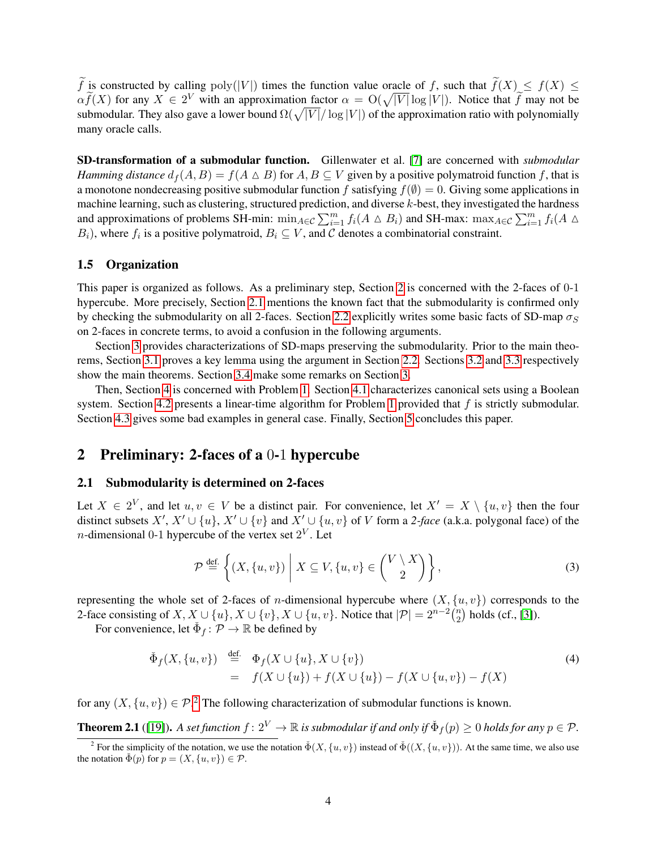$\widetilde{f}$  is constructed by calling poly(|V|) times the function value oracle of f, such that  $\widetilde{f}(X) \leq f(X) \leq$  $\alpha \tilde{f}(X)$  for any  $X \in 2^V$  with an approximation factor  $\alpha = O(\sqrt{|V|} \log |V|)$ . Notice that  $\tilde{f}$  may not be submodular. They also gave a lower bound  $\Omega(\sqrt{|V|}/\log|V|)$  of the approximation ratio with polynomially many oracle calls.

SD-transformation of a submodular function. Gillenwater et al. [\[7\]](#page-14-11) are concerned with *submodular Hamming distance*  $d_f(A, B) = f(A \triangle B)$  for  $A, B \subseteq V$  given by a positive polymatroid function f, that is a monotone nondecreasing positive submodular function f satisfying  $f(\emptyset) = 0$ . Giving some applications in machine learning, such as clustering, structured prediction, and diverse k-best, they investigated the hardness and approximations of problems SH-min:  $\min_{A \in \mathcal{C}} \sum_{i=1}^{m} f_i(A \triangle B_i)$  and SH-max:  $\max_{A \in \mathcal{C}} \sum_{i=1}^{m} f_i(A \triangle B_i)$  $B_i$ ), where  $f_i$  is a positive polymatroid,  $B_i \subseteq V$ , and C denotes a combinatorial constraint.

## 1.5 Organization

This paper is organized as follows. As a preliminary step, Section [2](#page-3-0) is concerned with the 2-faces of 0-1 hypercube. More precisely, Section [2.1](#page-3-1) mentions the known fact that the submodularity is confirmed only by checking the submodularity on all 2-faces. Section [2.2](#page-4-0) explicitly writes some basic facts of SD-map  $\sigma_S$ on 2-faces in concrete terms, to avoid a confusion in the following arguments.

Section [3](#page-5-0) provides characterizations of SD-maps preserving the submodularity. Prior to the main theorems, Section [3.1](#page-5-1) proves a key lemma using the argument in Section [2.2.](#page-4-0) Sections [3.2](#page-6-0) and [3.3](#page-7-1) respectively show the main theorems. Section [3.4](#page-8-4) make some remarks on Section [3.](#page-5-0)

Then, Section [4](#page-10-0) is concerned with Problem [1.](#page-2-1) Section [4.1](#page-10-2) characterizes canonical sets using a Boolean system. Section [4.2](#page-11-1) presents a linear-time algorithm for Problem [1](#page-2-1) provided that  $f$  is strictly submodular. Section [4.3](#page-12-1) gives some bad examples in general case. Finally, Section [5](#page-13-0) concludes this paper.

## <span id="page-3-0"></span>2 Preliminary: 2-faces of a 0-1 hypercube

#### <span id="page-3-1"></span>2.1 Submodularity is determined on 2-faces

Let  $X \in 2^V$ , and let  $u, v \in V$  be a distinct pair. For convenience, let  $X' = X \setminus \{u, v\}$  then the four distinct subsets  $X'$ ,  $X' \cup \{u\}$ ,  $X' \cup \{v\}$  and  $X' \cup \{u, v\}$  of V form a 2-face (a.k.a. polygonal face) of the *n*-dimensional 0-1 hypercube of the vertex set  $2^V$ . Let

$$
\mathcal{P} \stackrel{\text{def.}}{=} \left\{ (X, \{u, v\}) \mid X \subseteq V, \{u, v\} \in \binom{V \setminus X}{2} \right\},\tag{3}
$$

representing the whole set of 2-faces of *n*-dimensional hypercube where  $(X, \{u, v\})$  corresponds to the 2-face consisting of  $X, X \cup \{u\}, X \cup \{v\}, X \cup \{u, v\}$ . Notice that  $|\mathcal{P}| = 2^{n-2} \binom{n}{2}$  $\binom{n}{2}$  holds (cf., [\[3\]](#page-14-13)).

For convenience, let  $\check{\Phi}_f : \mathcal{P} \to \mathbb{R}$  be defined by

<span id="page-3-3"></span>
$$
\tilde{\Phi}_f(X, \{u, v\}) \stackrel{\text{def.}}{=} \Phi_f(X \cup \{u\}, X \cup \{v\}) \n= f(X \cup \{u\}) + f(X \cup \{u\}) - f(X \cup \{u, v\}) - f(X)
$$
\n(4)

for any  $(X, \{u, v\}) \in \mathcal{P}^2$  $(X, \{u, v\}) \in \mathcal{P}^2$ . The following characterization of submodular functions is known.

<span id="page-3-4"></span>**Theorem 2.1** ([\[19\]](#page-14-14)). A set function  $f: 2^V \to \mathbb{R}$  is submodular if and only if  $\check{\Phi}_f(p) \ge 0$  holds for any  $p \in \mathcal{P}$ .

<span id="page-3-2"></span><sup>&</sup>lt;sup>2</sup> For the simplicity of the notation, we use the notation  $\check{\Phi}(X, \{u, v\})$  instead of  $\check{\Phi}((X, \{u, v\}))$ . At the same time, we also use the notation  $\check{\Phi}(p)$  for  $p = (X, \{u, v\}) \in \mathcal{P}$ .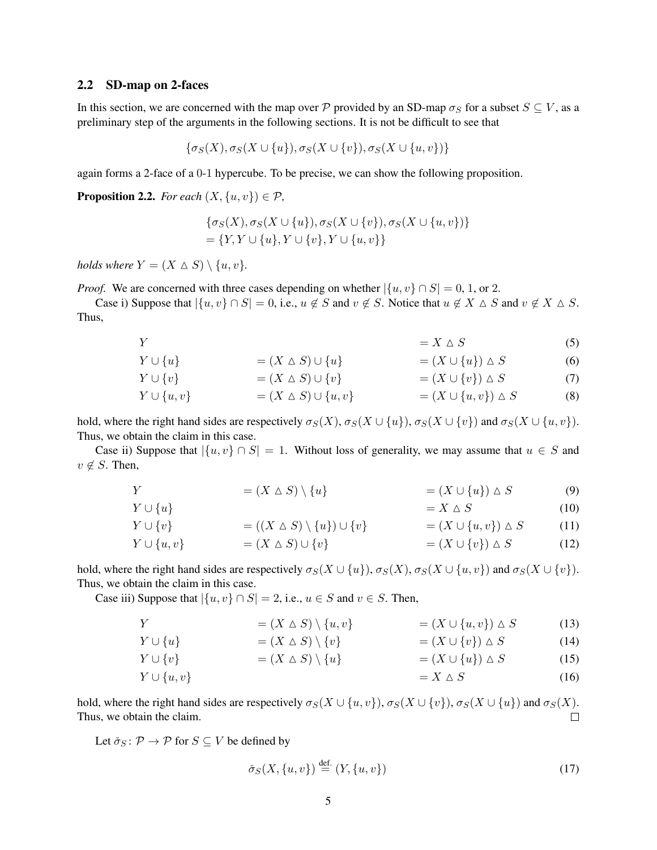### <span id="page-4-0"></span>2.2 SD-map on 2-faces

In this section, we are concerned with the map over P provided by an SD-map  $\sigma_S$  for a subset  $S \subseteq V$ , as a preliminary step of the arguments in the following sections. It is not be difficult to see that

$$
\{\sigma_S(X), \sigma_S(X \cup \{u\}), \sigma_S(X \cup \{v\}), \sigma_S(X \cup \{u,v\})\}
$$

again forms a 2-face of a 0-1 hypercube. To be precise, we can show the following proposition.

<span id="page-4-1"></span>**Proposition 2.2.** *For each*  $(X, \{u, v\}) \in \mathcal{P}$ *,* 

<span id="page-4-3"></span><span id="page-4-2"></span>
$$
\{\sigma_S(X), \sigma_S(X \cup \{u\}), \sigma_S(X \cup \{v\}), \sigma_S(X \cup \{u, v\})\}
$$
  
=  $\{Y, Y \cup \{u\}, Y \cup \{v\}, Y \cup \{u, v\}\}$ 

*holds where*  $Y = (X \triangle S) \setminus \{u, v\}.$ 

*Proof.* We are concerned with three cases depending on whether  $|\{u, v\} \cap S| = 0, 1,$  or 2.

Case i) Suppose that  $|\{u, v\} \cap S| = 0$ , i.e.,  $u \notin S$  and  $v \notin S$ . Notice that  $u \notin X \triangle S$  and  $v \notin X \triangle S$ . Thus,

 $Y = X \triangle S$  (5)

$$
Y \cup \{u\} \qquad \qquad = (X \wedge S) \cup \{u\} \qquad \qquad = (X \cup \{u\}) \wedge S \qquad \qquad (6)
$$

$$
Y \cup \{v\} = (X \triangle S) \cup \{v\} = (X \cup \{v\}) \triangle S \tag{7}
$$

$$
Y \cup \{u, v\} \qquad \qquad = (X \triangle S) \cup \{u, v\} \qquad \qquad = (X \cup \{u, v\}) \triangle S \qquad \qquad (8)
$$

hold, where the right hand sides are respectively  $\sigma_S(X)$ ,  $\sigma_S(X \cup \{u\})$ ,  $\sigma_S(X \cup \{v\})$  and  $\sigma_S(X \cup \{u, v\})$ . Thus, we obtain the claim in this case.

Case ii) Suppose that  $\{u, v\} \cap S = 1$ . Without loss of generality, we may assume that  $u \in S$  and  $v \notin S$ . Then,

|  |  | $=(X \triangle S) \setminus \{u\}$ | $=(X\cup \{u\})\triangle S$ | (9) |
|--|--|------------------------------------|-----------------------------|-----|
|--|--|------------------------------------|-----------------------------|-----|

$$
Y \cup \{u\} \qquad \qquad = X \wedge S \tag{10}
$$

$$
Y \cup \{v\} = ((X \triangle S) \setminus \{u\}) \cup \{v\} = (X \cup \{u, v\}) \triangle S \qquad (11)
$$
  
\n
$$
Y \cup \{u, v\} = (X \triangle S) \cup \{v\} = (X \cup \{v\}) \triangle S \qquad (12)
$$

hold, where the right hand sides are respectively  $\sigma_S(X \cup \{u\})$ ,  $\sigma_S(X)$ ,  $\sigma_S(X \cup \{u,v\})$  and  $\sigma_S(X \cup \{v\})$ . Thus, we obtain the claim in this case.

Case iii) Suppose that  $|\{u, v\} \cap S| = 2$ , i.e.,  $u \in S$  and  $v \in S$ . Then,

$$
Y = (X \triangle S) \setminus \{u, v\} = (X \cup \{u, v\}) \triangle S \tag{13}
$$

$$
Y \cup \{u\} = (X \triangle S) \setminus \{v\} = (X \cup \{v\}) \triangle S \tag{14}
$$
  
\n
$$
Y \cup \{v\} = (X \wedge S) \setminus \{u\} = (X \cup \{u\}) \wedge S \tag{15}
$$

$$
Y \cup \{u, v\} \qquad - \langle X \sqcup S \rangle \setminus \{u\} \qquad - \langle X \sqcup \{u\} \rangle \sqcup S \qquad (15)
$$
\n
$$
= X \triangle S \qquad (16)
$$

hold, where the right hand sides are respectively  $\sigma_S(X \cup \{u, v\})$ ,  $\sigma_S(X \cup \{v\})$ ,  $\sigma_S(X \cup \{u\})$  and  $\sigma_S(X)$ . Thus, we obtain the claim.  $\Box$ 

Let  $\check{\sigma}_S \colon \mathcal{P} \to \mathcal{P}$  for  $S \subseteq V$  be defined by

<span id="page-4-7"></span><span id="page-4-6"></span><span id="page-4-5"></span><span id="page-4-4"></span>
$$
\check{\sigma}_S(X, \{u, v\}) \stackrel{\text{def.}}{=} (Y, \{u, v\}) \tag{17}
$$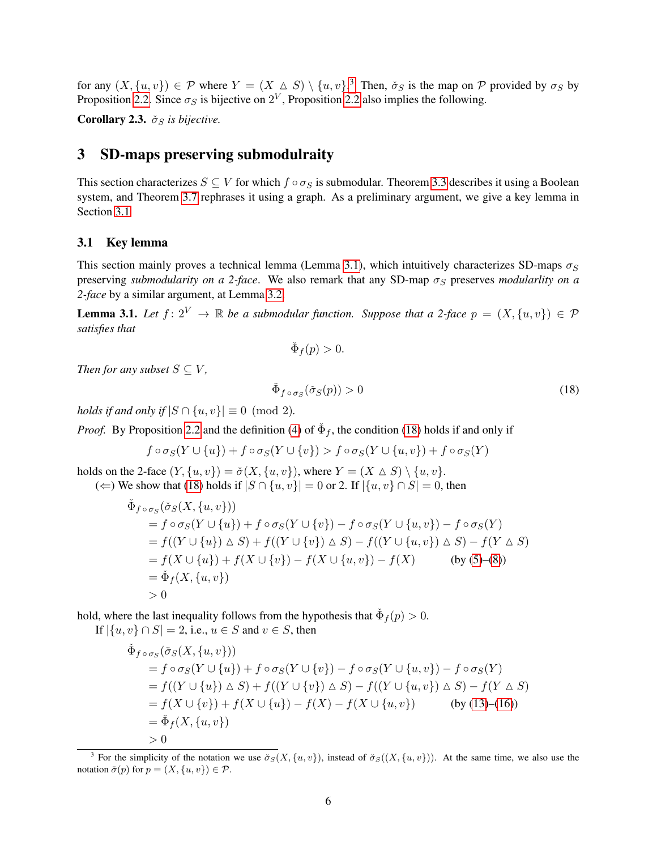for any  $(X, \{u, v\}) \in \mathcal{P}$  where  $Y = (X \triangle S) \setminus \{u, v\}$ .<sup>[3](#page-5-2)</sup> Then,  $\check{\sigma}_S$  is the map on  $\mathcal{P}$  provided by  $\sigma_S$  by Proposition [2.2.](#page-4-1) Since  $\sigma_S$  is bijective on  $2^V$ , Proposition [2.2](#page-4-1) also implies the following.

<span id="page-5-5"></span>Corollary 2.3.  $\check{\sigma}_S$  *is bijective.* 

## <span id="page-5-0"></span>3 SD-maps preserving submodulraity

This section characterizes  $S \subseteq V$  for which  $f \circ \sigma_S$  is submodular. Theorem [3.3](#page-7-0) describes it using a Boolean system, and Theorem [3.7](#page-8-0) rephrases it using a graph. As a preliminary argument, we give a key lemma in Section [3.1](#page-5-1)

## <span id="page-5-1"></span>3.1 Key lemma

This section mainly proves a technical lemma (Lemma [3.1\)](#page-5-3), which intuitively characterizes SD-maps  $\sigma_S$ preserving *submodularity on a 2-face*. We also remark that any SD-map  $\sigma_S$  preserves *modularlity on a 2-face* by a similar argument, at Lemma [3.2.](#page-6-1)

<span id="page-5-3"></span>**Lemma 3.1.** Let  $f: 2^V \to \mathbb{R}$  be a submodular function. Suppose that a 2-face  $p = (X, \{u, v\}) \in \mathcal{P}$ *satisfies that*

$$
\check{\Phi}_f(p) > 0.
$$

*Then for any subset*  $S \subseteq V$ ,

<span id="page-5-4"></span>
$$
\check{\Phi}_{f \circ \sigma_S}(\check{\sigma}_S(p)) > 0 \tag{18}
$$

*holds if and only if*  $|S \cap \{u, v\}| \equiv 0 \pmod{2}$ .

*Proof.* By Proposition [2.2](#page-4-1) and the definition [\(4\)](#page-3-3) of  $\check{\Phi}_f$ , the condition [\(18\)](#page-5-4) holds if and only if

$$
f \circ \sigma_S(Y \cup \{u\}) + f \circ \sigma_S(Y \cup \{v\}) > f \circ \sigma_S(Y \cup \{u,v\}) + f \circ \sigma_S(Y)
$$

holds on the 2-face  $(Y, \{u, v\}) = \check{\sigma}(X, \{u, v\})$ , where  $Y = (X \triangle S) \setminus \{u, v\}$ .

(←) We show that [\(18\)](#page-5-4) holds if  $|S \cap \{u, v\}| = 0$  or 2. If  $|\{u, v\} \cap S| = 0$ , then

$$
\tilde{\Phi}_{f \circ \sigma_S}(\tilde{\sigma}_S(X, \{u, v\}))
$$
\n
$$
= f \circ \sigma_S(Y \cup \{u\}) + f \circ \sigma_S(Y \cup \{v\}) - f \circ \sigma_S(Y \cup \{u, v\}) - f \circ \sigma_S(Y)
$$
\n
$$
= f((Y \cup \{u\}) \triangle S) + f((Y \cup \{v\}) \triangle S) - f((Y \cup \{u, v\}) \triangle S) - f(Y \triangle S)
$$
\n
$$
= f(X \cup \{u\}) + f(X \cup \{v\}) - f(X \cup \{u, v\}) - f(X)
$$
\n
$$
= \tilde{\Phi}_f(X, \{u, v\})
$$
\n
$$
> 0
$$

hold, where the last inequality follows from the hypothesis that  $\check{\Phi}_f(p) > 0$ .

If  $|\{u, v\} \cap S| = 2$ , i.e.,  $u \in S$  and  $v \in S$ , then

$$
\tilde{\Phi}_{f \circ \sigma_S}(\check{\sigma}_S(X, \{u, v\}))
$$
\n
$$
= f \circ \sigma_S(Y \cup \{u\}) + f \circ \sigma_S(Y \cup \{v\}) - f \circ \sigma_S(Y \cup \{u, v\}) - f \circ \sigma_S(Y)
$$
\n
$$
= f((Y \cup \{u\}) \triangle S) + f((Y \cup \{v\}) \triangle S) - f((Y \cup \{u, v\}) \triangle S) - f(Y \triangle S)
$$
\n
$$
= f(X \cup \{v\}) + f(X \cup \{u\}) - f(X) - f(X \cup \{u, v\}) \qquad \text{(by (13)-(16))}
$$
\n
$$
= \tilde{\Phi}_f(X, \{u, v\})
$$
\n
$$
> 0
$$

<span id="page-5-2"></span><sup>&</sup>lt;sup>3</sup> For the simplicity of the notation we use  $\check{\sigma}_S(X, \{u, v\})$ , instead of  $\check{\sigma}_S((X, \{u, v\}))$ . At the same time, we also use the notation  $\check{\sigma}(p)$  for  $p = (X, \{u, v\}) \in \mathcal{P}$ .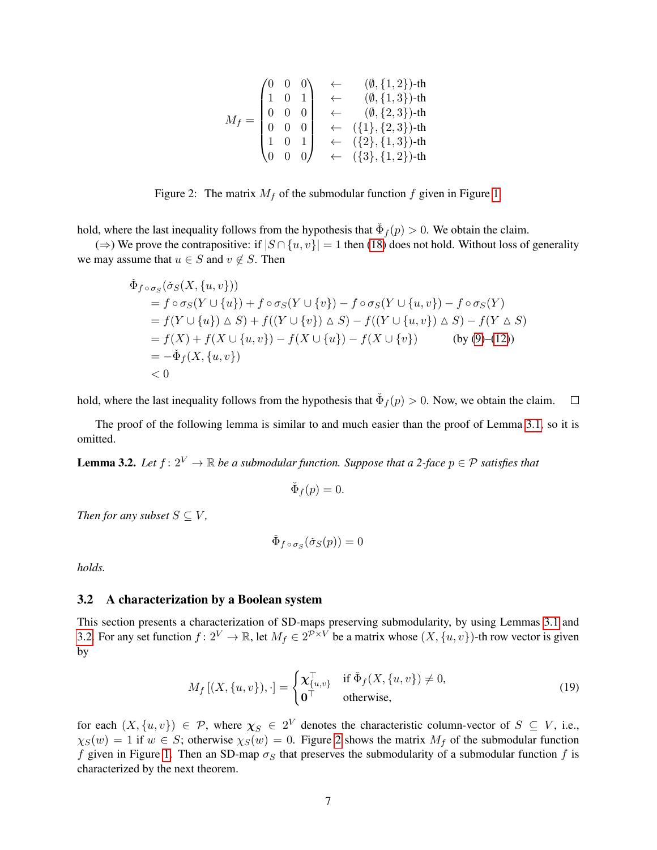$$
M_f = \begin{pmatrix} 0 & 0 & 0 \\ 1 & 0 & 1 \\ 0 & 0 & 0 \\ 0 & 0 & 0 \\ 1 & 0 & 1 \\ 0 & 0 & 0 \\ 0 & 0 & 0 \end{pmatrix} \begin{matrix} \leftarrow & (\emptyset, \{1, 2\})\text{-th} \\ \leftarrow & (\emptyset, \{1, 3\})\text{-th} \\ (\emptyset, \{2, 3\})\text{-th} \\ \leftarrow & (\{1\}, \{2, 3\})\text{-th} \\ \leftarrow & \{\{2\}, \{1, 3\}\}\text{-th} \\ \leftarrow & (\{3\}, \{1, 2\})\text{-th} \end{matrix}
$$

<span id="page-6-2"></span>Figure 2: The matrix  $M_f$  of the submodular function f given in Figure [1.](#page-2-0)

hold, where the last inequality follows from the hypothesis that  $\check{\Phi}_f(p) > 0$ . We obtain the claim.

(⇒) We prove the contrapositive: if  $|S \cap \{u, v\}| = 1$  then [\(18\)](#page-5-4) does not hold. Without loss of generality we may assume that  $u \in S$  and  $v \notin S$ . Then

$$
\tilde{\Phi}_{f \circ \sigma_S}(\tilde{\sigma}_S(X, \{u, v\}))
$$
\n
$$
= f \circ \sigma_S(Y \cup \{u\}) + f \circ \sigma_S(Y \cup \{v\}) - f \circ \sigma_S(Y \cup \{u, v\}) - f \circ \sigma_S(Y)
$$
\n
$$
= f(Y \cup \{u\}) \triangle S) + f((Y \cup \{v\}) \triangle S) - f((Y \cup \{u, v\}) \triangle S) - f(Y \triangle S)
$$
\n
$$
= f(X) + f(X \cup \{u, v\}) - f(X \cup \{u\}) - f(X \cup \{v\}) \qquad \text{(by (9)–(12))}
$$
\n
$$
= -\tilde{\Phi}_f(X, \{u, v\})
$$
\n
$$
< 0
$$

hold, where the last inequality follows from the hypothesis that  $\check{\Phi}_f(p) > 0$ . Now, we obtain the claim.  $\Box$ 

The proof of the following lemma is similar to and much easier than the proof of Lemma [3.1,](#page-5-3) so it is omitted.

<span id="page-6-1"></span>**Lemma 3.2.** Let  $f: 2^V \to \mathbb{R}$  be a submodular function. Suppose that a 2-face  $p \in \mathcal{P}$  satisfies that

$$
\check{\Phi}_f(p) = 0.
$$

*Then for any subset*  $S \subseteq V$ ,

$$
\check\Phi_{f\circ\sigma_S}(\check\sigma_S(p))=0
$$

*holds.*

#### <span id="page-6-0"></span>3.2 A characterization by a Boolean system

This section presents a characterization of SD-maps preserving submodularity, by using Lemmas [3.1](#page-5-3) and [3.2.](#page-6-1) For any set function  $f: 2^V \to \mathbb{R}$ , let  $M_f \in 2^{\mathcal{P} \times V}$  be a matrix whose  $(X, \{u, v\})$ -th row vector is given by

<span id="page-6-3"></span>
$$
M_f\left[ (X, \{u, v\}), \cdot \right] = \begin{cases} \mathbf{\chi}_{\{u, v\}}^{\top} & \text{if } \check{\Phi}_f(X, \{u, v\}) \neq 0, \\ \mathbf{0}^{\top} & \text{otherwise,} \end{cases} \tag{19}
$$

for each  $(X, \{u, v\}) \in \mathcal{P}$ , where  $\chi_S \in 2^V$  denotes the characteristic column-vector of  $S \subseteq V$ , i.e.,  $\chi_S(w) = 1$  if  $w \in S$ ; otherwise  $\chi_S(w) = 0$ . Figure [2](#page-6-2) shows the matrix  $M_f$  of the submodular function f given in Figure [1.](#page-2-0) Then an SD-map  $\sigma_S$  that preserves the submodularity of a submodular function f is characterized by the next theorem.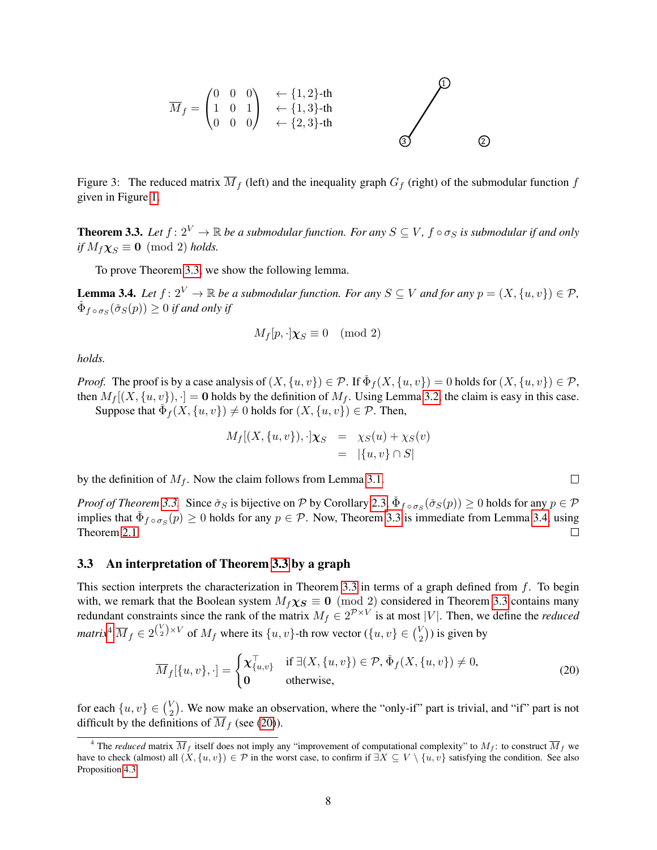

<span id="page-7-5"></span>Figure 3: The reduced matrix  $\overline{M}_f$  (left) and the inequality graph  $G_f$  (right) of the submodular function f given in Figure [1.](#page-2-0)

<span id="page-7-0"></span>**Theorem 3.3.** Let  $f: 2^V \to \mathbb{R}$  be a submodular function. For any  $S \subseteq V$ ,  $f \circ \sigma_S$  is submodular if and only *if*  $M_f \chi_S \equiv 0 \pmod{2}$  *holds.* 

To prove Theorem [3.3,](#page-7-0) we show the following lemma.

<span id="page-7-2"></span>**Lemma 3.4.** *Let*  $f: 2^V \to \mathbb{R}$  *be a submodular function. For any*  $S \subseteq V$  *and for any*  $p = (X, \{u, v\}) \in \mathcal{P}$ *,*  $\check{\Phi}_{f \circ \sigma_S}(\check{\sigma}_S(p)) \geq 0$  if and only if

$$
M_f[p, \cdot] \chi_S \equiv 0 \pmod{2}
$$

*holds.*

*Proof.* The proof is by a case analysis of  $(X, \{u, v\}) \in \mathcal{P}$ . If  $\check{\Phi}_f(X, \{u, v\}) = 0$  holds for  $(X, \{u, v\}) \in \mathcal{P}$ , then  $M_f[(X, \{u, v\})] = 0$  holds by the definition of  $M_f$ . Using Lemma [3.2,](#page-6-1) the claim is easy in this case.

Suppose that  $\check{\Phi}_f(X, \{u, v\}) \neq 0$  holds for  $(X, \{u, v\}) \in \mathcal{P}$ . Then,

$$
M_f[(X, \{u, v\}), \cdot] \chi_S = \chi_S(u) + \chi_S(v)
$$
  
=  $|\{u, v\} \cap S|$ 

by the definition of  $M_f$ . Now the claim follows from Lemma [3.1.](#page-5-3)

*Proof of Theorem* [3.3.](#page-7-0) Since  $\check{\sigma}_S$  is bijective on P by Corollary [2.3,](#page-5-5)  $\check{\Phi}_{f \circ \sigma_S}(\check{\sigma}_S(p)) \ge 0$  holds for any  $p \in \mathcal{P}$ implies that  $\check{\Phi}_{f \circ \sigma_S}(p) \ge 0$  holds for any  $p \in \mathcal{P}$ . Now, Theorem [3.3](#page-7-0) is immediate from Lemma [3.4,](#page-7-2) using Theorem [2.1.](#page-3-4)  $\Box$ 

#### <span id="page-7-1"></span>3.3 An interpretation of Theorem [3.3](#page-7-0) by a graph

This section interprets the characterization in Theorem [3.3](#page-7-0) in terms of a graph defined from  $f$ . To begin with, we remark that the Boolean system  $M_f \chi_S \equiv 0 \pmod{2}$  considered in Theorem [3.3](#page-7-0) contains many redundant constraints since the rank of the matrix  $M_f \in 2^{\mathcal{P} \times V}$  is at most |V|. Then, we define the *reduced matrix*<sup>[4](#page-7-3)</sup>  $\overline{M}_f \in 2^{\binom{V}{2} \times V}$  of  $M_f$  where its  $\{u, v\}$ -th row vector  $(\{u, v\} \in \binom{V}{2})$  $\binom{V}{2}$ ) is given by

<span id="page-7-4"></span>
$$
\overline{M}_f[\{u, v\}, \cdot] = \begin{cases} \mathbf{\chi}_{\{u, v\}}^{\top} & \text{if } \exists (X, \{u, v\}) \in \mathcal{P}, \check{\Phi}_f(X, \{u, v\}) \neq 0, \\ \mathbf{0} & \text{otherwise}, \end{cases}
$$
\n(20)

for each  $\{u, v\} \in \binom{V}{2}$  $\binom{1}{2}$ . We now make an observation, where the "only-if" part is trivial, and "if" part is not difficult by the definitions of  $\overline{M}_f$  (see [\(20\)](#page-7-4)).

<span id="page-7-3"></span><sup>&</sup>lt;sup>4</sup> The *reduced* matrix  $\overline{M}_f$  itself does not imply any "improvement of computational complexity" to  $M_f$ : to construct  $\overline{M}_f$  we have to check (almost) all  $(X, \{u, v\}) \in \mathcal{P}$  in the worst case, to confirm if  $\exists X \subseteq V \setminus \{u, v\}$  satisfying the condition. See also Proposition [4.3.](#page-12-0)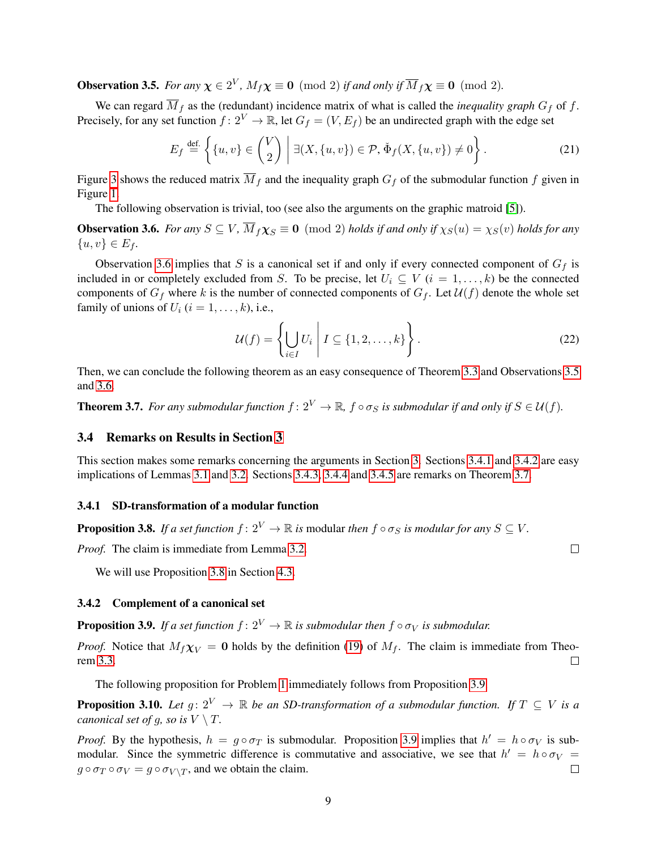<span id="page-8-6"></span>**Observation 3.5.** *For any*  $\chi \in 2^V$ ,  $M_f \chi \equiv 0 \pmod{2}$  *if and only if*  $\overline{M}_f \chi \equiv 0 \pmod{2}$ *.* 

We can regard  $\overline{M}_f$  as the (redundant) incidence matrix of what is called the *inequality graph*  $G_f$  of f. Precisely, for any set function  $f: 2^V \to \mathbb{R}$ , let  $G_f = (V, E_f)$  be an undirected graph with the edge set

<span id="page-8-9"></span>
$$
E_f \stackrel{\text{def.}}{=} \left\{ \{u, v\} \in \binom{V}{2} \; \middle| \; \exists (X, \{u, v\}) \in \mathcal{P}, \, \check{\Phi}_f(X, \{u, v\}) \neq 0 \right\}.
$$

Figure [3](#page-7-5) shows the reduced matrix  $\overline{M}_f$  and the inequality graph  $G_f$  of the submodular function f given in Figure [1.](#page-2-0)

The following observation is trivial, too (see also the arguments on the graphic matroid [\[5\]](#page-14-7)).

<span id="page-8-5"></span>**Observation 3.6.** *For any*  $S \subseteq V$ ,  $\overline{M}_f \chi_S \equiv 0 \pmod{2}$  *holds if and only if*  $\chi_S(u) = \chi_S(v)$  *holds for any*  $\{u, v\} \in E_f.$ 

Observation [3.6](#page-8-5) implies that S is a canonical set if and only if every connected component of  $G_f$  is included in or completely excluded from S. To be precise, let  $U_i \subseteq V$   $(i = 1, \ldots, k)$  be the connected components of  $G_f$  where k is the number of connected components of  $G_f$ . Let  $\mathcal{U}(f)$  denote the whole set family of unions of  $U_i$   $(i = 1, \ldots, k)$ , i.e.,

$$
\mathcal{U}(f) = \left\{ \bigcup_{i \in I} U_i \mid I \subseteq \{1, 2, \dots, k\} \right\}.
$$
 (22)

Then, we can conclude the following theorem as an easy consequence of Theorem [3.3](#page-7-0) and Observations [3.5](#page-8-6) and [3.6.](#page-8-5)

<span id="page-8-0"></span>**Theorem 3.7.** *For any submodular function*  $f: 2^V \to \mathbb{R}$ ,  $f \circ \sigma_S$  *is submodular if and only if*  $S \in \mathcal{U}(f)$ *.* 

#### <span id="page-8-4"></span>3.4 Remarks on Results in Section [3](#page-5-0)

This section makes some remarks concerning the arguments in Section [3.](#page-5-0) Sections [3.4.1](#page-8-7) and [3.4.2](#page-8-3) are easy implications of Lemmas [3.1](#page-5-3) and [3.2.](#page-6-1) Sections [3.4.3,](#page-9-0) [3.4.4](#page-9-1) and [3.4.5](#page-10-3) are remarks on Theorem [3.7.](#page-8-0)

#### <span id="page-8-7"></span>3.4.1 SD-transformation of a modular function

<span id="page-8-1"></span>**Proposition 3.8.** *If a set function*  $f: 2^V \to \mathbb{R}$  *is modular then*  $f \circ \sigma_S$  *is modular for any*  $S \subseteq V$ *.* 

*Proof.* The claim is immediate from Lemma [3.2.](#page-6-1)

We will use Proposition [3.8](#page-8-1) in Section [4.3.](#page-12-1)

#### <span id="page-8-3"></span>3.4.2 Complement of a canonical set

<span id="page-8-8"></span>**Proposition 3.9.** *If a set function*  $f: 2^V \to \mathbb{R}$  *is submodular then*  $f \circ \sigma_V$  *is submodular.* 

*Proof.* Notice that  $M_f \chi_V = 0$  holds by the definition [\(19\)](#page-6-3) of  $M_f$ . The claim is immediate from Theorem [3.3.](#page-7-0)  $\Box$ 

The following proposition for Problem [1](#page-2-1) immediately follows from Proposition [3.9.](#page-8-8)

<span id="page-8-2"></span>**Proposition 3.10.** *Let*  $q: 2^V \to \mathbb{R}$  *be an SD-transformation of a submodular function. If*  $T \subset V$  *is a canonical set of g, so is*  $V \setminus T$ *.* 

*Proof.* By the hypothesis,  $h = g \circ \sigma_T$  is submodular. Proposition [3.9](#page-8-8) implies that  $h' = h \circ \sigma_V$  is submodular. Since the symmetric difference is commutative and associative, we see that  $h' = h \circ \sigma_V =$  $g \circ \sigma_T \circ \sigma_V = g \circ \sigma_{V \setminus T}$ , and we obtain the claim.  $\Box$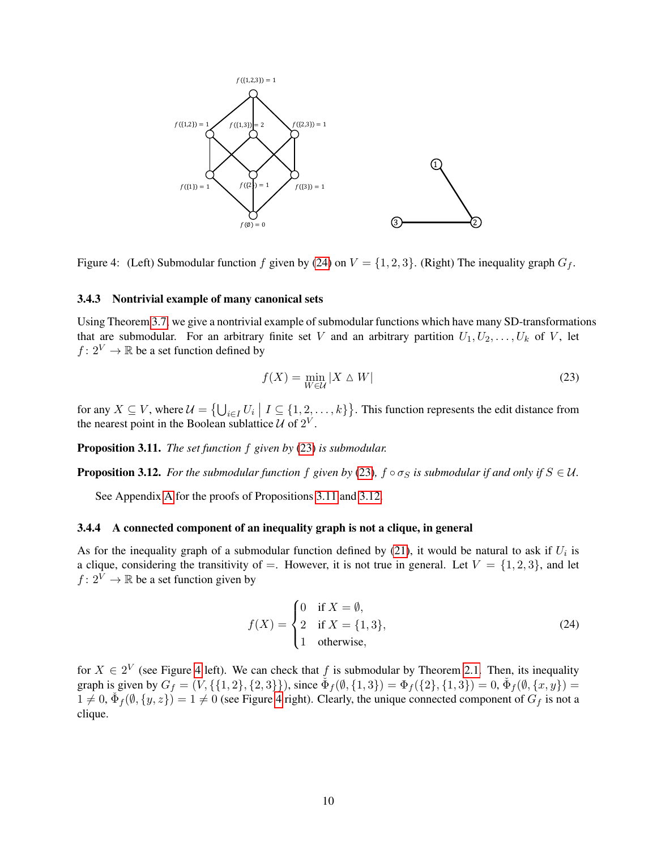

<span id="page-9-6"></span>Figure 4: (Left) Submodular function f given by [\(24\)](#page-9-2) on  $V = \{1, 2, 3\}$ . (Right) The inequality graph  $G_f$ .

#### <span id="page-9-0"></span>3.4.3 Nontrivial example of many canonical sets

Using Theorem [3.7,](#page-8-0) we give a nontrivial example of submodular functions which have many SD-transformations that are submodular. For an arbitrary finite set V and an arbitrary partition  $U_1, U_2, \ldots, U_k$  of V, let  $f: 2^V \to \mathbb{R}$  be a set function defined by

<span id="page-9-3"></span>
$$
f(X) = \min_{W \in \mathcal{U}} |X \triangle W|
$$
\n(23)

for any  $X \subseteq V$ , where  $\mathcal{U} = \{ \bigcup_{i \in I} U_i \mid I \subseteq \{1, 2, ..., k\} \}$ . This function represents the edit distance from the nearest point in the Boolean sublattice  $\mathcal U$  of  $2^V$ .

<span id="page-9-4"></span>Proposition 3.11. *The set function* f *given by* [\(23\)](#page-9-3) *is submodular.*

<span id="page-9-5"></span>**Proposition 3.12.** *For the submodular function* f *given by* [\(23\)](#page-9-3),  $f \circ \sigma_S$  *is submodular if and only if*  $S \in \mathcal{U}$ *.* 

See Appendix [A](#page-15-0) for the proofs of Propositions [3.11](#page-9-4) and [3.12.](#page-9-5)

#### <span id="page-9-1"></span>3.4.4 A connected component of an inequality graph is not a clique, in general

As for the inequality graph of a submodular function defined by [\(21\)](#page-8-9), it would be natural to ask if  $U_i$  is a clique, considering the transitivity of =. However, it is not true in general. Let  $V = \{1, 2, 3\}$ , and let  $f: 2^{\tilde{V}} \to \mathbb{R}$  be a set function given by

<span id="page-9-2"></span>
$$
f(X) = \begin{cases} 0 & \text{if } X = \emptyset, \\ 2 & \text{if } X = \{1, 3\}, \\ 1 & \text{otherwise}, \end{cases}
$$
 (24)

for  $X \in 2^V$  (see Figure [4](#page-9-6) left). We can check that f is submodular by Theorem [2.1.](#page-3-4) Then, its inequality graph is given by  $G_f = (V, \{ \{1, 2\}, \{2, 3\} \})$ , since  $\check{\Phi}_f(\emptyset, \{1, 3\}) = \Phi_f(\{2\}, \{1, 3\}) = 0$ ,  $\check{\Phi}_f(\emptyset, \{x, y\}) =$  $1 \neq 0$ ,  $\check{\Phi}_f(\emptyset, \{y, z\}) = 1 \neq 0$  (see Figure [4](#page-9-6) right). Clearly, the unique connected component of  $G_f$  is not a clique.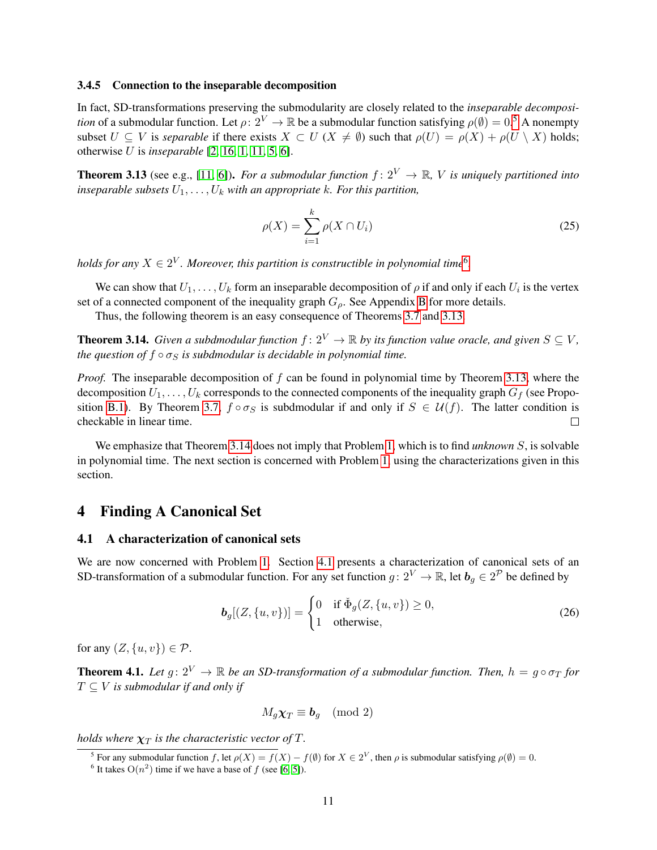#### <span id="page-10-3"></span>3.4.5 Connection to the inseparable decomposition

In fact, SD-transformations preserving the submodularity are closely related to the *inseparable decomposition* of a submodular function. Let  $\rho: 2^V \to \mathbb{R}$  be a submodular function satisfying  $\rho(\emptyset) = 0.5$  $\rho(\emptyset) = 0.5$  A nonempty subset  $U \subseteq V$  is *separable* if there exists  $X \subset U$  ( $X \neq \emptyset$ ) such that  $\rho(U) = \rho(X) + \rho(U \setminus X)$  holds; otherwise U is *inseparable* [\[2,](#page-14-15) [16,](#page-14-16) [1,](#page-14-6) [11,](#page-14-17) [5,](#page-14-7) [6\]](#page-14-18).

<span id="page-10-6"></span>**Theorem 3.13** (see e.g., [\[11,](#page-14-17) [6\]](#page-14-18)). *For a submodular function*  $f: 2^V \to \mathbb{R}$ , *V is uniquely partitioned into inseparable subsets*  $U_1, \ldots, U_k$  *with an appropriate k. For this partition,* 

$$
\rho(X) = \sum_{i=1}^{k} \rho(X \cap U_i)
$$
\n(25)

holds for any  $X \in 2^V$ . Moreover, this partition is constructible in polynomial time<sup>[6](#page-10-5)</sup>.

We can show that  $U_1, \ldots, U_k$  form an inseparable decomposition of  $\rho$  if and only if each  $U_i$  is the vertex set of a connected component of the inequality graph  $G_{\rho}$ . See Appendix [B](#page-17-0) for more details.

Thus, the following theorem is an easy consequence of Theorems [3.7](#page-8-0) and [3.13.](#page-10-6)

<span id="page-10-7"></span>**Theorem 3.14.** *Given a subdmodular function*  $f: 2^V \to \mathbb{R}$  *by its function value oracle, and given*  $S \subset V$ *, the question of*  $f \circ \sigma_S$  *is subdmodular is decidable in polynomial time.* 

*Proof.* The inseparable decomposition of f can be found in polynomial time by Theorem [3.13,](#page-10-6) where the decomposition  $U_1, \ldots, U_k$  corresponds to the connected components of the inequality graph  $G_f$  (see Propo-sition [B.1\)](#page-17-1). By Theorem [3.7,](#page-8-0)  $f \circ \sigma_S$  is subdmodular if and only if  $S \in \mathcal{U}(f)$ . The latter condition is checkable in linear time.

We emphasize that Theorem [3.14](#page-10-7) does not imply that Problem [1,](#page-2-1) which is to find *unknown* S, is solvable in polynomial time. The next section is concerned with Problem [1,](#page-2-1) using the characterizations given in this section.

## <span id="page-10-0"></span>4 Finding A Canonical Set

### <span id="page-10-2"></span>4.1 A characterization of canonical sets

We are now concerned with Problem [1.](#page-2-1) Section [4.1](#page-10-2) presents a characterization of canonical sets of an SD-transformation of a submodular function. For any set function  $g: 2^V \to \mathbb{R}$ , let  $b_g \in 2^{\mathcal{P}}$  be defined by

<span id="page-10-8"></span>
$$
\boldsymbol{b}_{g}[(Z,\{u,v\})]=\begin{cases}0 & \text{if } \check{\Phi}_{g}(Z,\{u,v\})\geq 0, \\ 1 & \text{otherwise},\end{cases}
$$
 (26)

for any  $(Z, \{u, v\}) \in \mathcal{P}$ .

<span id="page-10-1"></span>**Theorem 4.1.** *Let*  $g: 2^V \to \mathbb{R}$  *be an SD-transformation of a submodular function. Then,*  $h = g \circ \sigma_T$  *for*  $T \subseteq V$  *is submodular if and only if* 

$$
M_g \chi_T \equiv \bm{b}_g \pmod{2}
$$

holds where  $\boldsymbol{\chi}_{T}$  is the characteristic vector of  $T.$ 

<span id="page-10-4"></span><sup>&</sup>lt;sup>5</sup> For any submodular function f, let  $\rho(X) = f(X) - f(\emptyset)$  for  $X \in 2^V$ , then  $\rho$  is submodular satisfying  $\rho(\emptyset) = 0$ .

<span id="page-10-5"></span><sup>&</sup>lt;sup>6</sup> It takes  $O(n^2)$  time if we have a base of f (see [\[6,](#page-14-18) [5\]](#page-14-7)).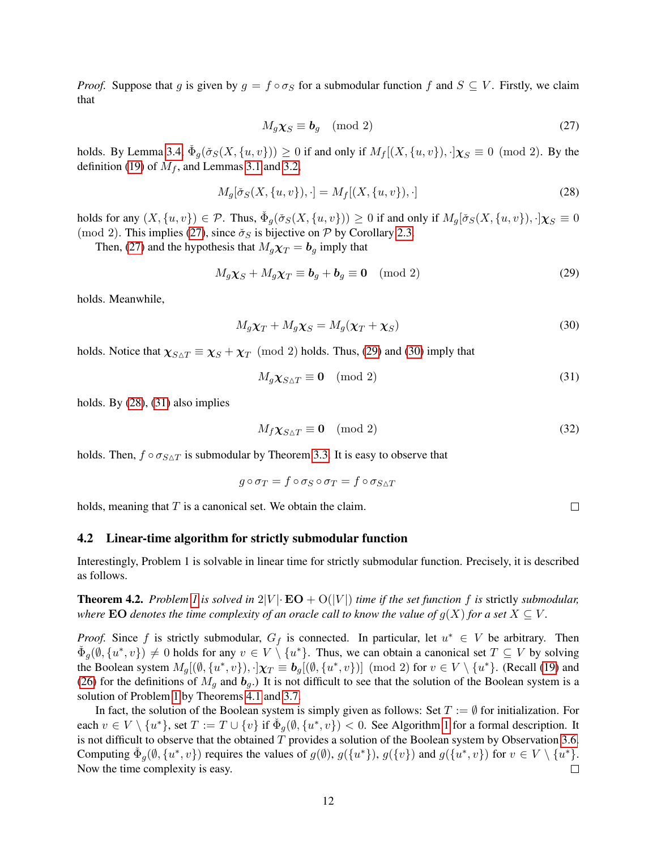*Proof.* Suppose that g is given by  $g = f \circ \sigma_S$  for a submodular function f and  $S \subseteq V$ . Firstly, we claim that

<span id="page-11-2"></span>
$$
M_g \chi_S \equiv \mathbf{b}_g \pmod{2} \tag{27}
$$

holds. By Lemma [3.4,](#page-7-2)  $\check{\Phi}_g(\check{\sigma}_S(X, \{u, v\})) \ge 0$  if and only if  $M_f[(X, \{u, v\}), \cdot] \chi_S \equiv 0 \pmod{2}$ . By the definition [\(19\)](#page-6-3) of  $M_f$ , and Lemmas [3.1](#page-5-3) and [3.2,](#page-6-1)

<span id="page-11-5"></span>
$$
M_g[\check{\sigma}_S(X, \{u, v\}), \cdot] = M_f[(X, \{u, v\}), \cdot]
$$
\n(28)

holds for any  $(X, \{u, v\}) \in \mathcal{P}$ . Thus,  $\check{\Phi}_g(\check{\sigma}_S(X, \{u, v\})) \ge 0$  if and only if  $M_g[\check{\sigma}_S(X, \{u, v\}), \cdot] \chi_S \equiv 0$ (mod 2). This implies [\(27\)](#page-11-2), since  $\check{\sigma}_S$  is bijective on P by Corollary [2.3.](#page-5-5)

Then, [\(27\)](#page-11-2) and the hypothesis that  $M_q\chi_T = b_q$  imply that

<span id="page-11-3"></span>
$$
M_g \chi_S + M_g \chi_T \equiv \mathbf{b}_g + \mathbf{b}_g \equiv \mathbf{0} \pmod{2} \tag{29}
$$

holds. Meanwhile,

<span id="page-11-4"></span>
$$
M_g \chi_T + M_g \chi_S = M_g(\chi_T + \chi_S) \tag{30}
$$

holds. Notice that  $\chi_{S \triangle T} \equiv \chi_S + \chi_T \pmod{2}$  holds. Thus, [\(29\)](#page-11-3) and [\(30\)](#page-11-4) imply that

<span id="page-11-6"></span>
$$
M_g \chi_{S \triangle T} \equiv \mathbf{0} \pmod{2} \tag{31}
$$

holds. By [\(28\)](#page-11-5), [\(31\)](#page-11-6) also implies

$$
M_f \chi_{S \triangle T} \equiv \mathbf{0} \pmod{2} \tag{32}
$$

holds. Then,  $f \circ \sigma_{S \triangle T}$  is submodular by Theorem [3.3.](#page-7-0) It is easy to observe that

$$
g\circ \sigma_T=f\circ \sigma_S\circ \sigma_T=f\circ \sigma_{S\triangle T}
$$

holds, meaning that  $T$  is a canonical set. We obtain the claim.

#### <span id="page-11-1"></span>4.2 Linear-time algorithm for strictly submodular function

Interestingly, Problem 1 is solvable in linear time for strictly submodular function. Precisely, it is described as follows.

<span id="page-11-0"></span>**Theorem 4.2.** Problem [1](#page-2-1) is solved in  $2|V| \cdot \mathbf{EO} + O(|V|)$  time if the set function f is strictly submodular, *where* **EO** *denotes the time complexity of an oracle call to know the value of*  $g(X)$  *for a set*  $X \subseteq V$ *.* 

*Proof.* Since f is strictly submodular,  $G_f$  is connected. In particular, let  $u^* \in V$  be arbitrary. Then  $\check{\Phi}_g(\emptyset, \{u^*, v\}) \neq 0$  holds for any  $v \in V \setminus \{u^*\}$ . Thus, we can obtain a canonical set  $T \subseteq V$  by solving the Boolean system  $M_g[(\emptyset, \{u^*, v\}), \cdot] \chi_T \equiv b_g[(\emptyset, \{u^*, v\})] \pmod{2}$  for  $v \in V \setminus \{u^*\}$ . (Recall [\(19\)](#page-6-3) and [\(26\)](#page-10-8) for the definitions of  $M_g$  and  $b_g$ .) It is not difficult to see that the solution of the Boolean system is a solution of Problem [1](#page-2-1) by Theorems [4.1](#page-10-1) and [3.7.](#page-8-0)

In fact, the solution of the Boolean system is simply given as follows: Set  $T := \emptyset$  for initialization. For each  $v \in V \setminus \{u^*\}$ , set  $T := T \cup \{v\}$  if  $\check{\Phi}_g(\emptyset, \{u^*, v\}) < 0$ . See Algorithm [1](#page-12-2) for a formal description. It is not difficult to observe that the obtained  $T$  provides a solution of the Boolean system by Observation [3.6.](#page-8-5) Computing  $\check{\Phi}_g(\emptyset, \{u^*, v\})$  requires the values of  $g(\emptyset), g(\{u^*\}), g(\{v\})$  and  $g(\{u^*, v\})$  for  $v \in V \setminus \{u^*\}.$ Now the time complexity is easy.  $\Box$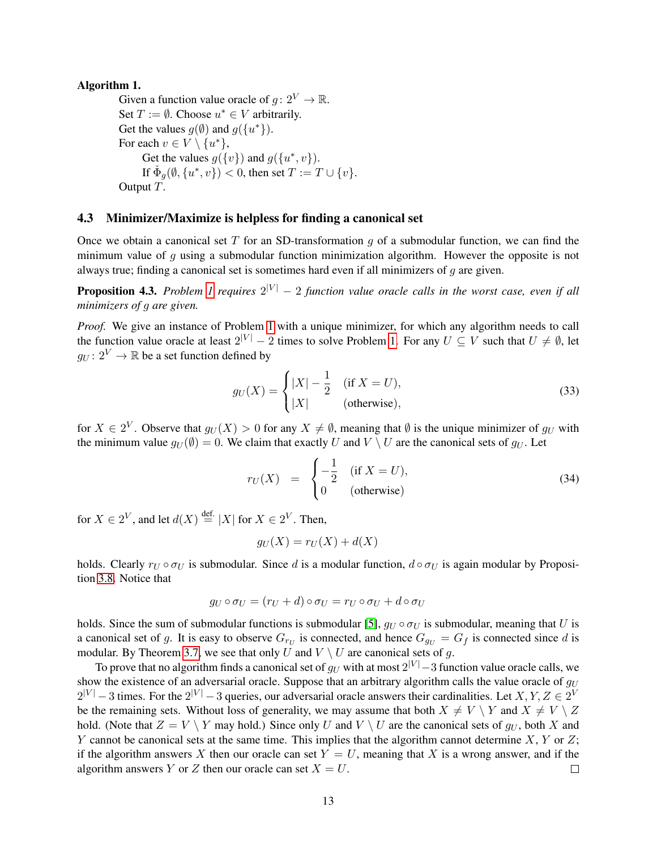### <span id="page-12-2"></span>Algorithm 1.

Given a function value oracle of  $g: 2^V \to \mathbb{R}$ . Set  $T := \emptyset$ . Choose  $u^* \in V$  arbitrarily. Get the values  $g(\emptyset)$  and  $g({u^*})$ . For each  $v \in V \setminus \{u^*\},\$ Get the values  $g({v})$  and  $g({u^*}, v)$ . If  $\check{\Phi}_g(\emptyset, \{u^*, v\}) < 0$ , then set  $T := T \cup \{v\}$ . Output T.

### <span id="page-12-1"></span>4.3 Minimizer/Maximize is helpless for finding a canonical set

Once we obtain a canonical set T for an SD-transformation  $g$  of a submodular function, we can find the minimum value of g using a submodular function minimization algorithm. However the opposite is not always true; finding a canonical set is sometimes hard even if all minimizers of  $g$  are given.

<span id="page-12-0"></span>**Proposition 4.3.** Problem [1](#page-2-1) requires  $2^{|V|} - 2$  function value oracle calls in the worst case, even if all *minimizers of* g *are given.*

*Proof.* We give an instance of Problem [1](#page-2-1) with a unique minimizer, for which any algorithm needs to call the function value oracle at least  $2^{|V|} - 2$  times to solve Problem [1.](#page-2-1) For any  $U \subseteq V$  such that  $U \neq \emptyset$ , let  $q_U: 2^V \to \mathbb{R}$  be a set function defined by

<span id="page-12-3"></span>
$$
g_U(X) = \begin{cases} |X| - \frac{1}{2} & (if X = U), \\ |X| & (otherwise), \end{cases}
$$
(33)

for  $X \in 2^V$ . Observe that  $g_U(X) > 0$  for any  $X \neq \emptyset$ , meaning that  $\emptyset$  is the unique minimizer of  $g_U$  with the minimum value  $g_U(\emptyset) = 0$ . We claim that exactly U and  $V \setminus U$  are the canonical sets of  $g_U$ . Let

$$
r_U(X) = \begin{cases} -\frac{1}{2} & (\text{if } X = U), \\ 0 & (\text{otherwise}) \end{cases}
$$
 (34)

for  $X \in 2^V$ , and let  $d(X) \stackrel{\text{def.}}{=} |X|$  for  $X \in 2^V$ . Then,

$$
g_U(X) = r_U(X) + d(X)
$$

holds. Clearly  $r_U \circ \sigma_U$  is submodular. Since d is a modular function,  $d \circ \sigma_U$  is again modular by Proposition [3.8.](#page-8-1) Notice that

$$
g_U \circ \sigma_U = (r_U + d) \circ \sigma_U = r_U \circ \sigma_U + d \circ \sigma_U
$$

holds. Since the sum of submodular functions is submodular [\[5\]](#page-14-7),  $g_U \circ \sigma_U$  is submodular, meaning that U is a canonical set of g. It is easy to observe  $G_{r_U}$  is connected, and hence  $G_{g_U} = G_f$  is connected since d is modular. By Theorem [3.7,](#page-8-0) we see that only U and  $V \setminus U$  are canonical sets of q.

To prove that no algorithm finds a canonical set of  $g_U$  with at most  $2^{|V|}-3$  function value oracle calls, we show the existence of an adversarial oracle. Suppose that an arbitrary algorithm calls the value oracle of  $q_U$  $2^{|V|}-3$  times. For the  $2^{|V|}-3$  queries, our adversarial oracle answers their cardinalities. Let  $X, Y, Z \in 2^V$ be the remaining sets. Without loss of generality, we may assume that both  $X \neq V \setminus Y$  and  $X \neq V \setminus Z$ hold. (Note that  $Z = V \setminus Y$  may hold.) Since only U and  $V \setminus U$  are the canonical sets of  $g_U$ , both X and Y cannot be canonical sets at the same time. This implies that the algorithm cannot determine  $X, Y$  or  $Z$ ; if the algorithm answers X then our oracle can set  $Y = U$ , meaning that X is a wrong answer, and if the algorithm answers Y or Z then our oracle can set  $X = U$ .  $\Box$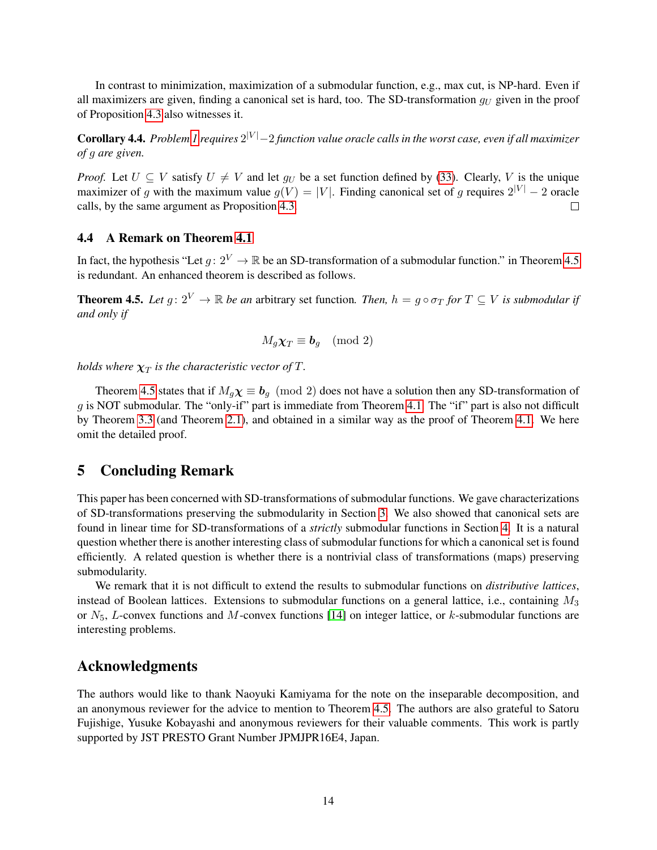In contrast to minimization, maximization of a submodular function, e.g., max cut, is NP-hard. Even if all maximizers are given, finding a canonical set is hard, too. The SD-transformation  $g_U$  given in the proof of Proposition [4.3](#page-12-0) also witnesses it.

Corollary 4.4. *Problem [1](#page-2-1) requires* 2 <sup>|</sup><sup>V</sup> <sup>|</sup>−2 *function value oracle calls in the worst case, even if all maximizer of* g *are given.*

*Proof.* Let  $U \subseteq V$  satisfy  $U \neq V$  and let  $g_U$  be a set function defined by [\(33\)](#page-12-3). Clearly, V is the unique maximizer of g with the maximum value  $g(V) = |V|$ . Finding canonical set of g requires  $2^{|V|} - 2$  oracle calls, by the same argument as Proposition [4.3.](#page-12-0)  $\Box$ 

## 4.4 A Remark on Theorem [4.1](#page-10-1)

In fact, the hypothesis "Let  $g: 2^V \to \mathbb{R}$  be an SD-transformation of a submodular function." in Theorem [4.5](#page-13-1) is redundant. An enhanced theorem is described as follows.

<span id="page-13-1"></span>**Theorem 4.5.** *Let*  $g: 2^V \to \mathbb{R}$  *be an arbitrary set function. Then,*  $h = g \circ \sigma_T$  *for*  $T \subseteq V$  *is submodular if and only if*

$$
M_g \chi_T \equiv \bm{b}_g \pmod{2}
$$

holds where  $\boldsymbol{\chi}_{T}$  is the characteristic vector of  $T.$ 

Theorem [4.5](#page-13-1) states that if  $M_g \chi \equiv b_g \pmod{2}$  does not have a solution then any SD-transformation of  $q$  is NOT submodular. The "only-if" part is immediate from Theorem [4.1.](#page-10-1) The "if" part is also not difficult by Theorem [3.3](#page-7-0) (and Theorem [2.1\)](#page-3-4), and obtained in a similar way as the proof of Theorem [4.1.](#page-10-1) We here omit the detailed proof.

## <span id="page-13-0"></span>5 Concluding Remark

This paper has been concerned with SD-transformations of submodular functions. We gave characterizations of SD-transformations preserving the submodularity in Section [3.](#page-5-0) We also showed that canonical sets are found in linear time for SD-transformations of a *strictly* submodular functions in Section [4.](#page-10-0) It is a natural question whether there is another interesting class of submodular functions for which a canonical set is found efficiently. A related question is whether there is a nontrivial class of transformations (maps) preserving submodularity.

We remark that it is not difficult to extend the results to submodular functions on *distributive lattices*, instead of Boolean lattices. Extensions to submodular functions on a general lattice, i.e., containing  $M_3$ or  $N_5$ , L-convex functions and M-convex functions [\[14\]](#page-14-8) on integer lattice, or k-submodular functions are interesting problems.

## Acknowledgments

The authors would like to thank Naoyuki Kamiyama for the note on the inseparable decomposition, and an anonymous reviewer for the advice to mention to Theorem [4.5.](#page-13-1) The authors are also grateful to Satoru Fujishige, Yusuke Kobayashi and anonymous reviewers for their valuable comments. This work is partly supported by JST PRESTO Grant Number JPMJPR16E4, Japan.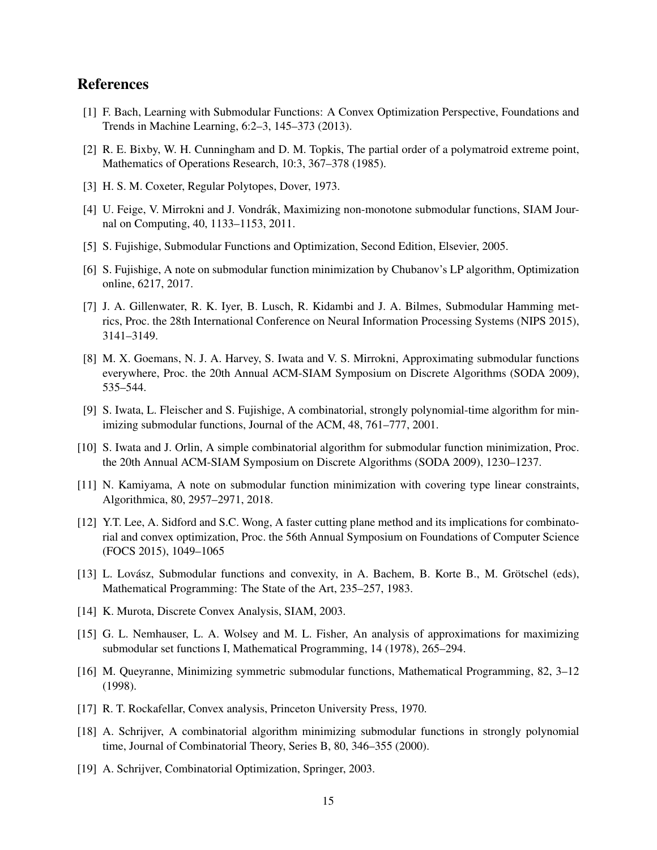## References

- <span id="page-14-6"></span>[1] F. Bach, Learning with Submodular Functions: A Convex Optimization Perspective, Foundations and Trends in Machine Learning, 6:2–3, 145–373 (2013).
- <span id="page-14-15"></span>[2] R. E. Bixby, W. H. Cunningham and D. M. Topkis, The partial order of a polymatroid extreme point, Mathematics of Operations Research, 10:3, 367–378 (1985).
- <span id="page-14-13"></span>[3] H. S. M. Coxeter, Regular Polytopes, Dover, 1973.
- <span id="page-14-5"></span>[4] U. Feige, V. Mirrokni and J. Vondrák, Maximizing non-monotone submodular functions, SIAM Journal on Computing, 40, 1133–1153, 2011.
- <span id="page-14-7"></span>[5] S. Fujishige, Submodular Functions and Optimization, Second Edition, Elsevier, 2005.
- <span id="page-14-18"></span>[6] S. Fujishige, A note on submodular function minimization by Chubanov's LP algorithm, Optimization online, 6217, 2017.
- <span id="page-14-11"></span>[7] J. A. Gillenwater, R. K. Iyer, B. Lusch, R. Kidambi and J. A. Bilmes, Submodular Hamming metrics, Proc. the 28th International Conference on Neural Information Processing Systems (NIPS 2015), 3141–3149.
- <span id="page-14-12"></span>[8] M. X. Goemans, N. J. A. Harvey, S. Iwata and V. S. Mirrokni, Approximating submodular functions everywhere, Proc. the 20th Annual ACM-SIAM Symposium on Discrete Algorithms (SODA 2009), 535–544.
- <span id="page-14-1"></span>[9] S. Iwata, L. Fleischer and S. Fujishige, A combinatorial, strongly polynomial-time algorithm for minimizing submodular functions, Journal of the ACM, 48, 761–777, 2001.
- <span id="page-14-2"></span>[10] S. Iwata and J. Orlin, A simple combinatorial algorithm for submodular function minimization, Proc. the 20th Annual ACM-SIAM Symposium on Discrete Algorithms (SODA 2009), 1230–1237.
- <span id="page-14-17"></span>[11] N. Kamiyama, A note on submodular function minimization with covering type linear constraints, Algorithmica, 80, 2957–2971, 2018.
- <span id="page-14-3"></span>[12] Y.T. Lee, A. Sidford and S.C. Wong, A faster cutting plane method and its implications for combinatorial and convex optimization, Proc. the 56th Annual Symposium on Foundations of Computer Science (FOCS 2015), 1049–1065
- <span id="page-14-9"></span>[13] L. Lovász, Submodular functions and convexity, in A. Bachem, B. Korte B., M. Grötschel (eds), Mathematical Programming: The State of the Art, 235–257, 1983.
- <span id="page-14-8"></span>[14] K. Murota, Discrete Convex Analysis, SIAM, 2003.
- <span id="page-14-4"></span>[15] G. L. Nemhauser, L. A. Wolsey and M. L. Fisher, An analysis of approximations for maximizing submodular set functions I, Mathematical Programming, 14 (1978), 265–294.
- <span id="page-14-16"></span>[16] M. Queyranne, Minimizing symmetric submodular functions, Mathematical Programming, 82, 3–12 (1998).
- <span id="page-14-10"></span>[17] R. T. Rockafellar, Convex analysis, Princeton University Press, 1970.
- <span id="page-14-0"></span>[18] A. Schrijver, A combinatorial algorithm minimizing submodular functions in strongly polynomial time, Journal of Combinatorial Theory, Series B, 80, 346–355 (2000).
- <span id="page-14-14"></span>[19] A. Schrijver, Combinatorial Optimization, Springer, 2003.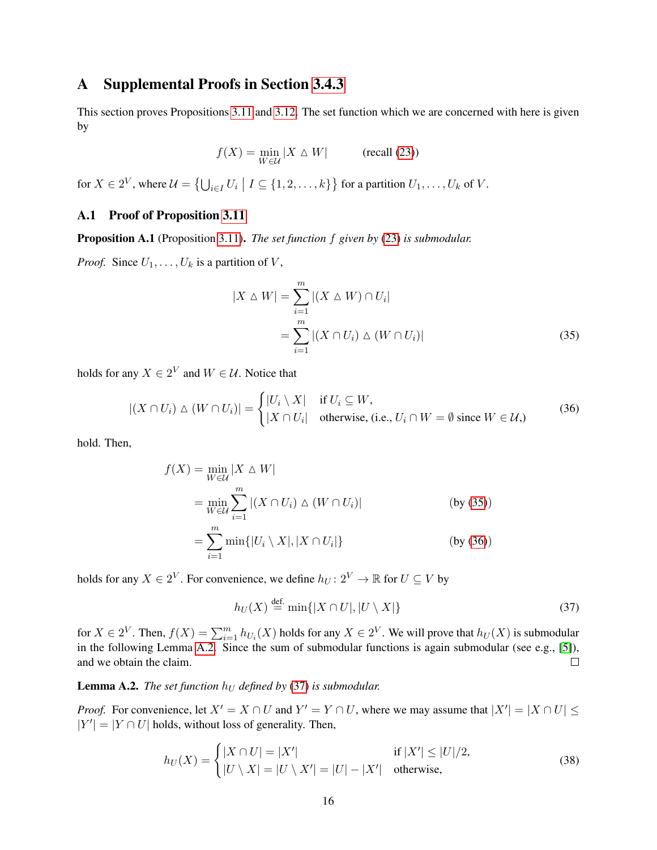# <span id="page-15-0"></span>A Supplemental Proofs in Section [3.4.3](#page-9-0)

This section proves Propositions [3.11](#page-9-4) and [3.12.](#page-9-5) The set function which we are concerned with here is given by

$$
f(X) = \min_{W \in \mathcal{U}} |X \triangle W| \qquad \text{(recall (23))}
$$

for  $X \in 2^V$ , where  $\mathcal{U} = \{ \bigcup_{i \in I} U_i \mid I \subseteq \{1, 2, \ldots, k\} \}$  for a partition  $U_1, \ldots, U_k$  of  $V$ .

## A.1 Proof of Proposition [3.11](#page-9-4)

Proposition A.1 (Proposition [3.11\)](#page-9-4). *The set function* f *given by* [\(23\)](#page-9-3) *is submodular.*

*Proof.* Since  $U_1, \ldots, U_k$  is a partition of V,

<span id="page-15-2"></span><span id="page-15-1"></span>
$$
|X \triangle W| = \sum_{i=1}^{m} |(X \triangle W) \cap U_i|
$$
  
= 
$$
\sum_{i=1}^{m} |(X \cap U_i) \triangle (W \cap U_i)|
$$
 (35)

holds for any  $X \in 2^V$  and  $W \in \mathcal{U}$ . Notice that

$$
|(X \cap U_i) \triangle (W \cap U_i)| = \begin{cases} |U_i \setminus X| & \text{if } U_i \subseteq W, \\ |X \cap U_i| & \text{otherwise, (i.e., } U_i \cap W = \emptyset \text{ since } W \in \mathcal{U}, \end{cases}
$$
(36)

hold. Then,

$$
f(X) = \min_{W \in \mathcal{U}} |X \triangle W|
$$
  
= 
$$
\min_{W \in \mathcal{U}} \sum_{i=1}^{m} |(X \cap U_i) \triangle (W \cap U_i)|
$$
 (by (35))  
= 
$$
\sum_{i=1}^{m} \min\{|U_i \setminus X|, |X \cap U_i|\}
$$
 (by (36))

holds for any  $X \in 2^V$ . For convenience, we define  $h_U \colon 2^V \to \mathbb{R}$  for  $U \subseteq V$  by

<span id="page-15-4"></span>
$$
h_U(X) \stackrel{\text{def.}}{=} \min\{|X \cap U|, |U \setminus X|\}\tag{37}
$$

for  $X \in 2^V$ . Then,  $f(X) = \sum_{i=1}^m h_{U_i}(X)$  holds for any  $X \in 2^V$ . We will prove that  $h_U(X)$  is submodular in the following Lemma [A.2.](#page-15-3) Since the sum of submodular functions is again submodular (see e.g., [\[5\]](#page-14-7)), and we obtain the claim.  $\Box$ 

## <span id="page-15-3"></span>**Lemma A.2.** *The set function*  $h_U$  *defined by* [\(37\)](#page-15-4) *is submodular.*

*Proof.* For convenience, let  $X' = X \cap U$  and  $Y' = Y \cap U$ , where we may assume that  $|X'| = |X \cap U| \le$  $|Y'| = |Y \cap U|$  holds, without loss of generality. Then,

$$
h_U(X) = \begin{cases} |X \cap U| = |X'| & \text{if } |X'| \le |U|/2, \\ |U \setminus X| = |U \setminus X'| = |U| - |X'| & \text{otherwise,} \end{cases}
$$
(38)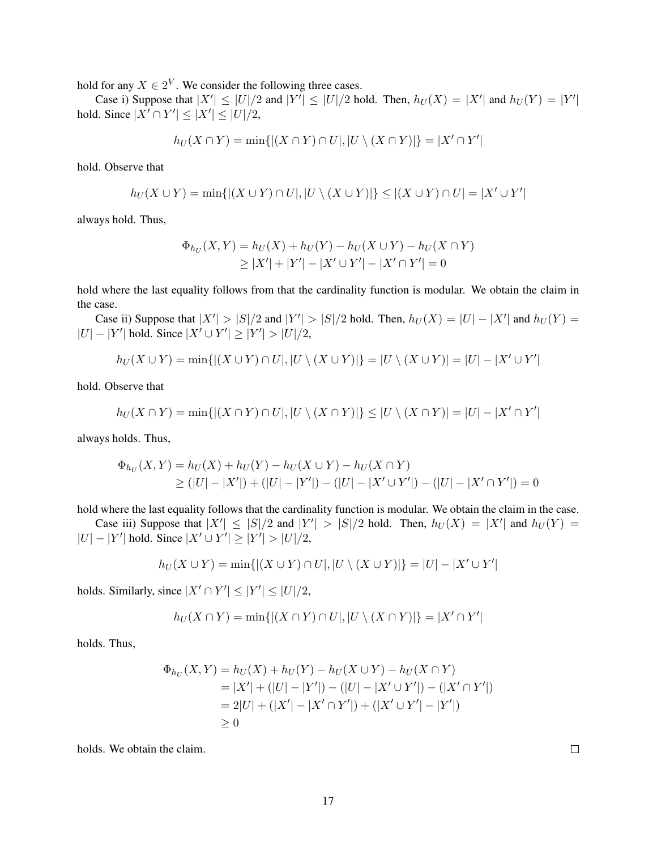hold for any  $X \in 2^V$ . We consider the following three cases.

Case i) Suppose that  $|X'| \leq |U|/2$  and  $|Y'| \leq |U|/2$  hold. Then,  $h_U(X) = |X'|$  and  $h_U(Y) = |Y'|$ hold. Since  $|X' \cap Y'| \leq |X'| \leq |U|/2$ ,

$$
h_U(X \cap Y) = \min\{|(X \cap Y) \cap U|, |U \setminus (X \cap Y)|\} = |X' \cap Y'|
$$

hold. Observe that

$$
h_U(X \cup Y) = \min\{|(X \cup Y) \cap U|, |U \setminus (X \cup Y)|\} \leq |(X \cup Y) \cap U| = |X' \cup Y'|
$$

always hold. Thus,

$$
\Phi_{h_U}(X, Y) = h_U(X) + h_U(Y) - h_U(X \cup Y) - h_U(X \cap Y)
$$
  
\n
$$
\geq |X'| + |Y'| - |X' \cup Y'| - |X' \cap Y'| = 0
$$

hold where the last equality follows from that the cardinality function is modular. We obtain the claim in the case.

Case ii) Suppose that  $|X'| > |S|/2$  and  $|Y'| > |S|/2$  hold. Then,  $h_U(X) = |U| - |X'|$  and  $h_U(Y) =$  $|U| - |Y'|$  hold. Since  $|X' \cup Y'| \ge |Y'| > |U|/2$ ,

$$
h_U(X \cup Y) = \min\{|(X \cup Y) \cap U|, |U \setminus (X \cup Y)|\} = |U \setminus (X \cup Y)| = |U| - |X' \cup Y'|
$$

hold. Observe that

$$
h_U(X \cap Y) = \min\{|(X \cap Y) \cap U|, |U \setminus (X \cap Y)|\} \leq |U \setminus (X \cap Y)| = |U| - |X' \cap Y'|
$$

always holds. Thus,

$$
\Phi_{h_U}(X,Y) = h_U(X) + h_U(Y) - h_U(X \cup Y) - h_U(X \cap Y)
$$
  
\n
$$
\geq (|U| - |X'|) + (|U| - |Y'|) - (|U| - |X' \cup Y'|) - (|U| - |X' \cap Y'|) = 0
$$

hold where the last equality follows that the cardinality function is modular. We obtain the claim in the case.

Case iii) Suppose that  $|X'| \leq |S|/2$  and  $|Y'| > |S|/2$  hold. Then,  $h_U(X) = |X'|$  and  $h_U(Y) =$  $|U| - |Y'|$  hold. Since  $|X' \cup Y'| \ge |Y'| > |U|/2$ ,

$$
h_U(X \cup Y) = \min\{|(X \cup Y) \cap U|, |U \setminus (X \cup Y)|\} = |U| - |X' \cup Y'|
$$

holds. Similarly, since  $|X' \cap Y'| \leq |Y'| \leq |U|/2$ ,

$$
h_U(X \cap Y) = \min\{|(X \cap Y) \cap U|, |U \setminus (X \cap Y)|\} = |X' \cap Y'|
$$

holds. Thus,

$$
\Phi_{h_U}(X,Y) = h_U(X) + h_U(Y) - h_U(X \cup Y) - h_U(X \cap Y)
$$
  
= |X'| + (|U| - |Y'|) - (|U| - |X' \cup Y'|) - (|X' \cap Y'|)  
= 2|U| + (|X'| - |X' \cap Y'|) + (|X' \cup Y'| - |Y'|)  
\ge 0

holds. We obtain the claim.

| ٠ |  |  |  |
|---|--|--|--|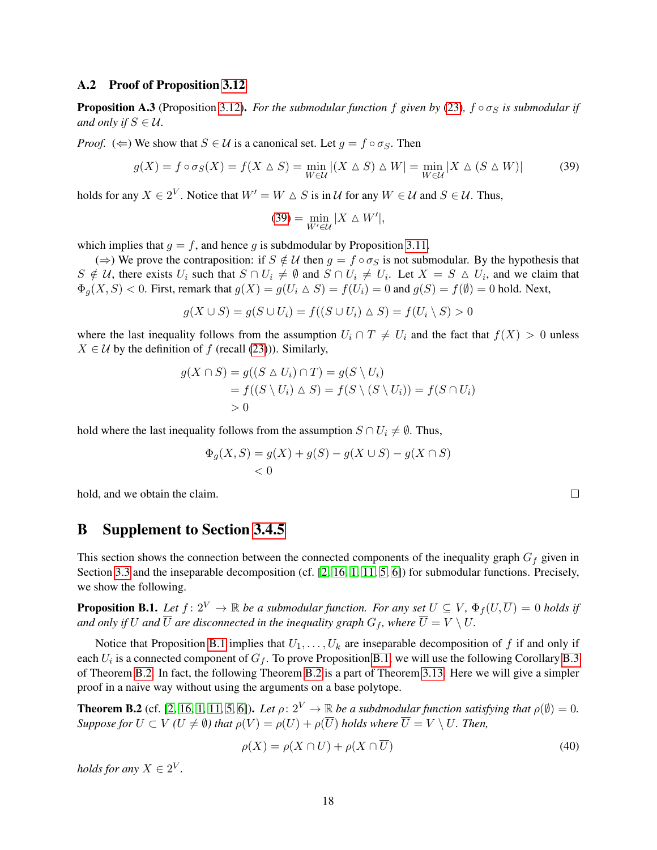#### A.2 Proof of Proposition [3.12](#page-9-5)

**Proposition A.3** (Proposition [3.12\)](#page-9-5). *For the submodular function* f given by [\(23\)](#page-9-3),  $f \circ \sigma_S$  *is submodular if and only if*  $S \in \mathcal{U}$ *.* 

*Proof.* ( $\Leftarrow$ ) We show that  $S \in \mathcal{U}$  is a canonical set. Let  $g = f \circ \sigma_S$ . Then

$$
g(X) = f \circ \sigma_S(X) = f(X \triangle S) = \min_{W \in \mathcal{U}} |(X \triangle S) \triangle W| = \min_{W \in \mathcal{U}} |X \triangle (S \triangle W)| \tag{39}
$$

holds for any  $X \in 2^V$ . Notice that  $W' = W \triangle S$  is in  $\mathcal U$  for any  $W \in \mathcal U$  and  $S \in \mathcal U$ . Thus,

<span id="page-17-2"></span>
$$
(39) = \min_{W' \in \mathcal{U}} |X \triangle W'|,
$$

which implies that  $q = f$ , and hence g is subdmodular by Proposition [3.11.](#page-9-4)

(⇒) We prove the contraposition: if  $S \notin \mathcal{U}$  then  $g = f \circ \sigma_S$  is not submodular. By the hypothesis that  $S \notin \mathcal{U}$ , there exists  $U_i$  such that  $S \cap U_i \neq \emptyset$  and  $S \cap U_i \neq U_i$ . Let  $X = S \triangle U_i$ , and we claim that  $\Phi_{q}(X, S) < 0$ . First, remark that  $g(X) = g(U_i \triangle S) = f(U_i) = 0$  and  $g(S) = f(\emptyset) = 0$  hold. Next,

$$
g(X \cup S) = g(S \cup U_i) = f((S \cup U_i) \triangle S) = f(U_i \setminus S) > 0
$$

where the last inequality follows from the assumption  $U_i \cap T \neq U_i$  and the fact that  $f(X) > 0$  unless  $X \in \mathcal{U}$  by the definition of f (recall [\(23\)](#page-9-3))). Similarly,

$$
g(X \cap S) = g((S \triangle U_i) \cap T) = g(S \setminus U_i)
$$
  
=  $f((S \setminus U_i) \triangle S) = f(S \setminus (S \setminus U_i)) = f(S \cap U_i)$   
> 0

hold where the last inequality follows from the assumption  $S \cap U_i \neq \emptyset$ . Thus,

$$
\Phi_g(X, S) = g(X) + g(S) - g(X \cup S) - g(X \cap S) \n< 0
$$

hold, and we obtain the claim.

## <span id="page-17-0"></span>B Supplement to Section [3.4.5](#page-10-3)

This section shows the connection between the connected components of the inequality graph  $G_f$  given in Section [3.3](#page-7-1) and the inseparable decomposition (cf. [\[2,](#page-14-15) [16,](#page-14-16) [1,](#page-14-6) [11,](#page-14-17) [5,](#page-14-7) [6\]](#page-14-18)) for submodular functions. Precisely, we show the following.

<span id="page-17-1"></span>**Proposition B.1.** Let  $f: 2^V \to \mathbb{R}$  be a submodular function. For any set  $U \subseteq V$ ,  $\Phi_f(U, \overline{U}) = 0$  holds if *and only if* U *and*  $\overline{U}$  *are disconnected in the inequality graph*  $G_f$ *, where*  $\overline{U} = V \setminus U$ *.* 

Notice that Proposition [B.1](#page-17-1) implies that  $U_1, \ldots, U_k$  are inseparable decomposition of f if and only if each  $U_i$  is a connected component of  $G_f$ . To prove Proposition [B.1,](#page-17-1) we will use the following Corollary [B.3](#page-18-0) of Theorem [B.2.](#page-17-3) In fact, the following Theorem [B.2](#page-17-3) is a part of Theorem [3.13.](#page-10-6) Here we will give a simpler proof in a naive way without using the arguments on a base polytope.

<span id="page-17-3"></span>**Theorem B.2** (cf. [\[2,](#page-14-15) [16,](#page-14-16) [1,](#page-14-6) [11,](#page-14-17) [5,](#page-14-7) [6\]](#page-14-18)). *Let*  $\rho: 2^V \to \mathbb{R}$  *be a subdmodular function satisfying that*  $\rho(\emptyset) = 0$ . *Suppose for*  $U \subset V$  *(U*  $\neq \emptyset$ *) that*  $\rho(V) = \rho(U) + \rho(\overline{U})$  *holds where*  $\overline{U} = V \setminus U$ *. Then,* 

<span id="page-17-4"></span>
$$
\rho(X) = \rho(X \cap U) + \rho(X \cap U) \tag{40}
$$

*holds for any*  $X \in 2^V$ .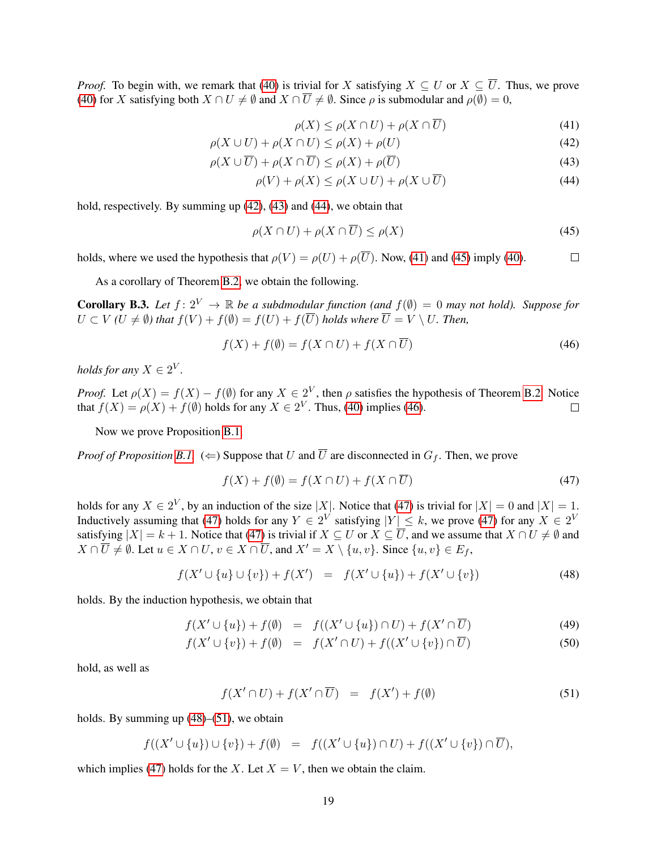*Proof.* To begin with, we remark that [\(40\)](#page-17-4) is trivial for X satisfying  $X \subseteq U$  or  $X \subseteq \overline{U}$ . Thus, we prove [\(40\)](#page-17-4) for X satisfying both  $X \cap U \neq \emptyset$  and  $X \cap \overline{U} \neq \emptyset$ . Since  $\rho$  is submodular and  $\rho(\emptyset) = 0$ ,

<span id="page-18-5"></span><span id="page-18-4"></span><span id="page-18-3"></span><span id="page-18-2"></span><span id="page-18-1"></span>
$$
\rho(X) \le \rho(X \cap U) + \rho(X \cap \overline{U})\tag{41}
$$

$$
\rho(X \cup U) + \rho(X \cap U) \le \rho(X) + \rho(U) \tag{42}
$$

$$
\rho(X \cup \overline{U}) + \rho(X \cap \overline{U}) \le \rho(X) + \rho(\overline{U})
$$
\n(43)

$$
\rho(V) + \rho(X) \le \rho(X \cup U) + \rho(X \cup \overline{U})
$$
\n(44)

hold, respectively. By summing up [\(42\)](#page-18-1), [\(43\)](#page-18-2) and [\(44\)](#page-18-3), we obtain that

$$
\rho(X \cap U) + \rho(X \cap \overline{U}) \le \rho(X) \tag{45}
$$

holds, where we used the hypothesis that  $\rho(V) = \rho(U) + \rho(\overline{U})$ . Now, [\(41\)](#page-18-4) and [\(45\)](#page-18-5) imply [\(40\)](#page-17-4).  $\Box$ 

As a corollary of Theorem [B.2,](#page-17-3) we obtain the following.

<span id="page-18-0"></span>**Corollary B.3.** Let  $f: 2^V \to \mathbb{R}$  be a subdmodular function (and  $f(\emptyset) = 0$  may not hold). Suppose for  $U \subset V$  *(U*  $\neq \emptyset$ *) that*  $f(V) + f(\emptyset) = f(U) + f(\overline{U})$  *holds where*  $\overline{U} = V \setminus U$ *. Then,* 

<span id="page-18-6"></span>
$$
f(X) + f(\emptyset) = f(X \cap U) + f(X \cap U)
$$
\n<sup>(46)</sup>

*holds for any*  $X \in 2^V$ .

*Proof.* Let  $\rho(X) = f(X) - f(\emptyset)$  for any  $X \in 2^V$ , then  $\rho$  satisfies the hypothesis of Theorem [B.2.](#page-17-3) Notice that  $f(X) = \rho(X) + f(\emptyset)$  holds for any  $X \in 2^V$ . Thus, [\(40\)](#page-17-4) implies [\(46\)](#page-18-6).  $\Box$ 

Now we prove Proposition [B.1.](#page-17-1)

*Proof of Proposition [B.1.](#page-17-1)* ( $\Leftarrow$ ) Suppose that U and  $\overline{U}$  are disconnected in  $G_f$ . Then, we prove

<span id="page-18-7"></span>
$$
f(X) + f(\emptyset) = f(X \cap U) + f(X \cap \overline{U})
$$
\n<sup>(47)</sup>

holds for any  $X \in 2^V$ , by an induction of the size |X|. Notice that [\(47\)](#page-18-7) is trivial for  $|X| = 0$  and  $|X| = 1$ . Inductively assuming that [\(47\)](#page-18-7) holds for any  $Y \in 2^V$  satisfying  $|Y| \leq k$ , we prove (47) for any  $X \in 2^V$ satisfying  $|X| = k + 1$ . Notice that [\(47\)](#page-18-7) is trivial if  $X \subseteq U$  or  $X \subseteq \overline{U}$ , and we assume that  $X \cap U \neq \emptyset$  and  $X \cap \overline{U} \neq \emptyset$ . Let  $u \in X \cap U$ ,  $v \in X \cap \overline{U}$ , and  $X' = X \setminus \{u, v\}$ . Since  $\{u, v\} \in E_f$ ,

<span id="page-18-8"></span>
$$
f(X' \cup \{u\} \cup \{v\}) + f(X') = f(X' \cup \{u\}) + f(X' \cup \{v\})
$$
\n(48)

holds. By the induction hypothesis, we obtain that

$$
f(X' \cup \{u\}) + f(\emptyset) = f((X' \cup \{u\}) \cap U) + f(X' \cap \overline{U})
$$
\n
$$
(49)
$$

$$
f(X' \cup \{v\}) + f(\emptyset) = f(X' \cap U) + f((X' \cup \{v\}) \cap \overline{U})
$$
\n
$$
(50)
$$

hold, as well as

<span id="page-18-9"></span>
$$
f(X' \cap U) + f(X' \cap \overline{U}) = f(X') + f(\emptyset)
$$
\n(51)

holds. By summing up  $(48)$ – $(51)$ , we obtain

 $f((X' \cup \{u\}) \cup \{v\}) + f(\emptyset) = f((X' \cup \{u\}) \cap U) + f((X' \cup \{v\}) \cap \overline{U}),$ 

which implies [\(47\)](#page-18-7) holds for the X. Let  $X = V$ , then we obtain the claim.